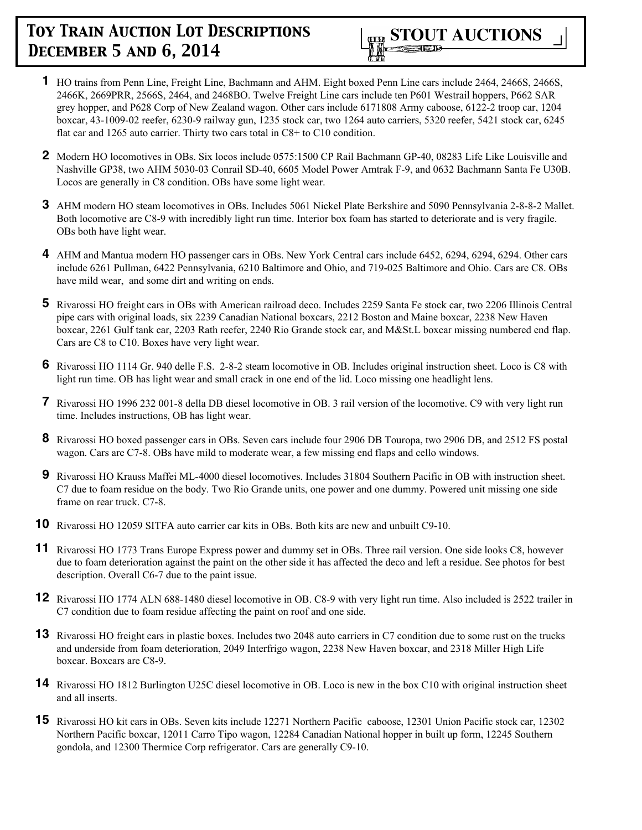

- **1** HO trains from Penn Line, Freight Line, Bachmann and AHM. Eight boxed Penn Line cars include 2464, 2466S, 2466S, 2466K, 2669PRR, 2566S, 2464, and 2468BO. Twelve Freight Line cars include ten P601 Westrail hoppers, P662 SAR grey hopper, and P628 Corp of New Zealand wagon. Other cars include 6171808 Army caboose, 6122-2 troop car, 1204 boxcar, 43-1009-02 reefer, 6230-9 railway gun, 1235 stock car, two 1264 auto carriers, 5320 reefer, 5421 stock car, 6245 flat car and 1265 auto carrier. Thirty two cars total in C8+ to C10 condition.
- **2** Modern HO locomotives in OBs. Six locos include 0575:1500 CP Rail Bachmann GP-40, 08283 Life Like Louisville and Nashville GP38, two AHM 5030-03 Conrail SD-40, 6605 Model Power Amtrak F-9, and 0632 Bachmann Santa Fe U30B. Locos are generally in C8 condition. OBs have some light wear.
- **3** AHM modern HO steam locomotives in OBs. Includes 5061 Nickel Plate Berkshire and 5090 Pennsylvania 2-8-8-2 Mallet. Both locomotive are C8-9 with incredibly light run time. Interior box foam has started to deteriorate and is very fragile. OBs both have light wear.
- **4** AHM and Mantua modern HO passenger cars in OBs. New York Central cars include 6452, 6294, 6294, 6294. Other cars include 6261 Pullman, 6422 Pennsylvania, 6210 Baltimore and Ohio, and 719-025 Baltimore and Ohio. Cars are C8. OBs have mild wear, and some dirt and writing on ends.
- **5** Rivarossi HO freight cars in OBs with American railroad deco. Includes 2259 Santa Fe stock car, two 2206 Illinois Central pipe cars with original loads, six 2239 Canadian National boxcars, 2212 Boston and Maine boxcar, 2238 New Haven boxcar, 2261 Gulf tank car, 2203 Rath reefer, 2240 Rio Grande stock car, and M&St.L boxcar missing numbered end flap. Cars are C8 to C10. Boxes have very light wear.
- **6** Rivarossi HO 1114 Gr. 940 delle F.S. 2-8-2 steam locomotive in OB. Includes original instruction sheet. Loco is C8 with light run time. OB has light wear and small crack in one end of the lid. Loco missing one headlight lens.
- **7** Rivarossi HO 1996 232 001-8 della DB diesel locomotive in OB. 3 rail version of the locomotive. C9 with very light run time. Includes instructions, OB has light wear.
- **8** Rivarossi HO boxed passenger cars in OBs. Seven cars include four 2906 DB Touropa, two 2906 DB, and 2512 FS postal wagon. Cars are C7-8. OBs have mild to moderate wear, a few missing end flaps and cello windows.
- **9** Rivarossi HO Krauss Maffei ML-4000 diesel locomotives. Includes 31804 Southern Pacific in OB with instruction sheet. C7 due to foam residue on the body. Two Rio Grande units, one power and one dummy. Powered unit missing one side frame on rear truck. C7-8.
- **10** Rivarossi HO 12059 SITFA auto carrier car kits in OBs. Both kits are new and unbuilt C9-10.
- **11** Rivarossi HO 1773 Trans Europe Express power and dummy set in OBs. Three rail version. One side looks C8, however due to foam deterioration against the paint on the other side it has affected the deco and left a residue. See photos for best description. Overall C6-7 due to the paint issue.
- **12** Rivarossi HO 1774 ALN 688-1480 diesel locomotive in OB. C8-9 with very light run time. Also included is 2522 trailer in C7 condition due to foam residue affecting the paint on roof and one side.
- **13** Rivarossi HO freight cars in plastic boxes. Includes two 2048 auto carriers in C7 condition due to some rust on the trucks and underside from foam deterioration, 2049 Interfrigo wagon, 2238 New Haven boxcar, and 2318 Miller High Life boxcar. Boxcars are C8-9.
- **14** Rivarossi HO 1812 Burlington U25C diesel locomotive in OB. Loco is new in the box C10 with original instruction sheet and all inserts.
- **15** Rivarossi HO kit cars in OBs. Seven kits include 12271 Northern Pacific caboose, 12301 Union Pacific stock car, 12302 Northern Pacific boxcar, 12011 Carro Tipo wagon, 12284 Canadian National hopper in built up form, 12245 Southern gondola, and 12300 Thermice Corp refrigerator. Cars are generally C9-10.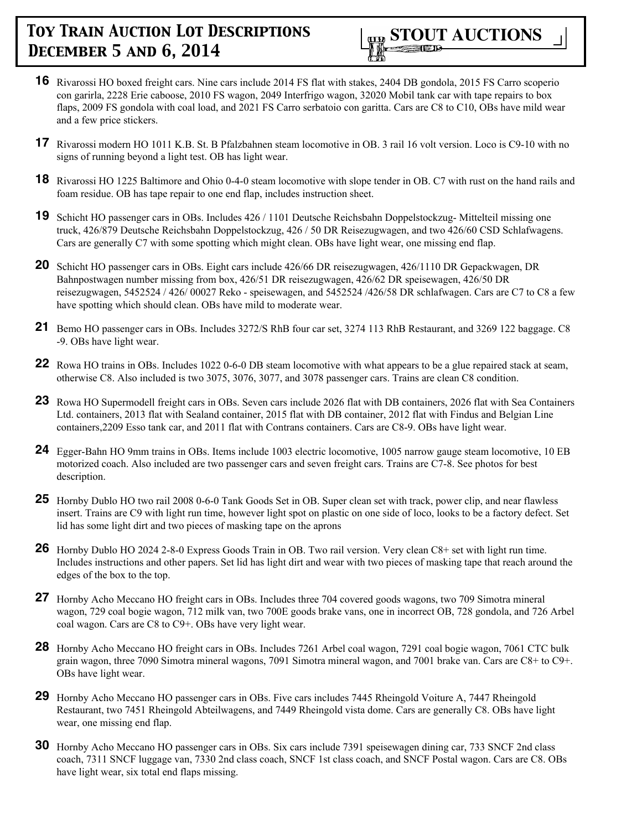

- **16** Rivarossi HO boxed freight cars. Nine cars include 2014 FS flat with stakes, 2404 DB gondola, 2015 FS Carro scoperio con garirla, 2228 Erie caboose, 2010 FS wagon, 2049 Interfrigo wagon, 32020 Mobil tank car with tape repairs to box flaps, 2009 FS gondola with coal load, and 2021 FS Carro serbatoio con garitta. Cars are C8 to C10, OBs have mild wear and a few price stickers.
- **17** Rivarossi modern HO 1011 K.B. St. B Pfalzbahnen steam locomotive in OB. 3 rail 16 volt version. Loco is C9-10 with no signs of running beyond a light test. OB has light wear.
- **18** Rivarossi HO 1225 Baltimore and Ohio 0-4-0 steam locomotive with slope tender in OB. C7 with rust on the hand rails and foam residue. OB has tape repair to one end flap, includes instruction sheet.
- **19** Schicht HO passenger cars in OBs. Includes 426 / 1101 Deutsche Reichsbahn Doppelstockzug- Mittelteil missing one truck, 426/879 Deutsche Reichsbahn Doppelstockzug, 426 / 50 DR Reisezugwagen, and two 426/60 CSD Schlafwagens. Cars are generally C7 with some spotting which might clean. OBs have light wear, one missing end flap.
- **20** Schicht HO passenger cars in OBs. Eight cars include 426/66 DR reisezugwagen, 426/1110 DR Gepackwagen, DR Bahnpostwagen number missing from box, 426/51 DR reisezugwagen, 426/62 DR speisewagen, 426/50 DR reisezugwagen, 5452524 / 426/ 00027 Reko - speisewagen, and 5452524 /426/58 DR schlafwagen. Cars are C7 to C8 a few have spotting which should clean. OBs have mild to moderate wear.
- **21** Bemo HO passenger cars in OBs. Includes 3272/S RhB four car set, 3274 113 RhB Restaurant, and 3269 122 baggage. C8 -9. OBs have light wear.
- **22** Rowa HO trains in OBs. Includes 1022 0-6-0 DB steam locomotive with what appears to be a glue repaired stack at seam, otherwise C8. Also included is two 3075, 3076, 3077, and 3078 passenger cars. Trains are clean C8 condition.
- **23** Rowa HO Supermodell freight cars in OBs. Seven cars include 2026 flat with DB containers, 2026 flat with Sea Containers Ltd. containers, 2013 flat with Sealand container, 2015 flat with DB container, 2012 flat with Findus and Belgian Line containers,2209 Esso tank car, and 2011 flat with Contrans containers. Cars are C8-9. OBs have light wear.
- **24** Egger-Bahn HO 9mm trains in OBs. Items include 1003 electric locomotive, 1005 narrow gauge steam locomotive, 10 EB motorized coach. Also included are two passenger cars and seven freight cars. Trains are C7-8. See photos for best description.
- **25** Hornby Dublo HO two rail 2008 0-6-0 Tank Goods Set in OB. Super clean set with track, power clip, and near flawless insert. Trains are C9 with light run time, however light spot on plastic on one side of loco, looks to be a factory defect. Set lid has some light dirt and two pieces of masking tape on the aprons
- **26** Hornby Dublo HO 2024 2-8-0 Express Goods Train in OB. Two rail version. Very clean C8+ set with light run time. Includes instructions and other papers. Set lid has light dirt and wear with two pieces of masking tape that reach around the edges of the box to the top.
- **27** Hornby Acho Meccano HO freight cars in OBs. Includes three 704 covered goods wagons, two 709 Simotra mineral wagon, 729 coal bogie wagon, 712 milk van, two 700E goods brake vans, one in incorrect OB, 728 gondola, and 726 Arbel coal wagon. Cars are C8 to C9+. OBs have very light wear.
- **28** Hornby Acho Meccano HO freight cars in OBs. Includes 7261 Arbel coal wagon, 7291 coal bogie wagon, 7061 CTC bulk grain wagon, three 7090 Simotra mineral wagons, 7091 Simotra mineral wagon, and 7001 brake van. Cars are C8+ to C9+. OBs have light wear.
- **29** Hornby Acho Meccano HO passenger cars in OBs. Five cars includes 7445 Rheingold Voiture A, 7447 Rheingold Restaurant, two 7451 Rheingold Abteilwagens, and 7449 Rheingold vista dome. Cars are generally C8. OBs have light wear, one missing end flap.
- **30** Hornby Acho Meccano HO passenger cars in OBs. Six cars include 7391 speisewagen dining car, 733 SNCF 2nd class coach, 7311 SNCF luggage van, 7330 2nd class coach, SNCF 1st class coach, and SNCF Postal wagon. Cars are C8. OBs have light wear, six total end flaps missing.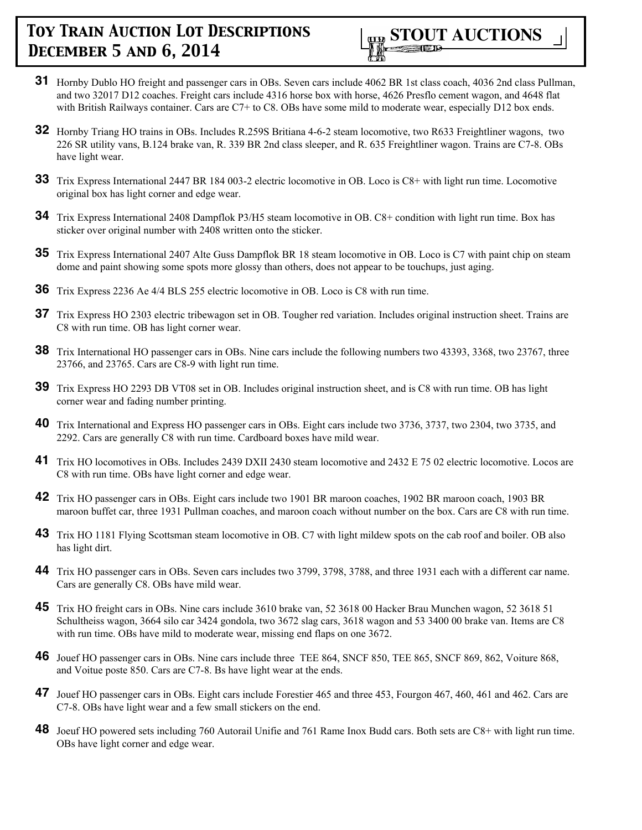

- **31** Hornby Dublo HO freight and passenger cars in OBs. Seven cars include 4062 BR 1st class coach, 4036 2nd class Pullman, and two 32017 D12 coaches. Freight cars include 4316 horse box with horse, 4626 Presflo cement wagon, and 4648 flat with British Railways container. Cars are C7+ to C8. OBs have some mild to moderate wear, especially D12 box ends.
- **32** Hornby Triang HO trains in OBs. Includes R.259S Britiana 4-6-2 steam locomotive, two R633 Freightliner wagons, two 226 SR utility vans, B.124 brake van, R. 339 BR 2nd class sleeper, and R. 635 Freightliner wagon. Trains are C7-8. OBs have light wear.
- **33** Trix Express International 2447 BR 184 003-2 electric locomotive in OB. Loco is C8+ with light run time. Locomotive original box has light corner and edge wear.
- **34** Trix Express International 2408 Dampflok P3/H5 steam locomotive in OB. C8+ condition with light run time. Box has sticker over original number with 2408 written onto the sticker.
- **35** Trix Express International 2407 Alte Guss Dampflok BR 18 steam locomotive in OB. Loco is C7 with paint chip on steam dome and paint showing some spots more glossy than others, does not appear to be touchups, just aging.
- **36** Trix Express 2236 Ae 4/4 BLS 255 electric locomotive in OB. Loco is C8 with run time.
- **37** Trix Express HO 2303 electric tribewagon set in OB. Tougher red variation. Includes original instruction sheet. Trains are C8 with run time. OB has light corner wear.
- **38** Trix International HO passenger cars in OBs. Nine cars include the following numbers two 43393, 3368, two 23767, three 23766, and 23765. Cars are C8-9 with light run time.
- **39** Trix Express HO 2293 DB VT08 set in OB. Includes original instruction sheet, and is C8 with run time. OB has light corner wear and fading number printing.
- **40** Trix International and Express HO passenger cars in OBs. Eight cars include two 3736, 3737, two 2304, two 3735, and 2292. Cars are generally C8 with run time. Cardboard boxes have mild wear.
- **41** Trix HO locomotives in OBs. Includes 2439 DXII 2430 steam locomotive and 2432 E 75 02 electric locomotive. Locos are C8 with run time. OBs have light corner and edge wear.
- **42** Trix HO passenger cars in OBs. Eight cars include two 1901 BR maroon coaches, 1902 BR maroon coach, 1903 BR maroon buffet car, three 1931 Pullman coaches, and maroon coach without number on the box. Cars are C8 with run time.
- **43** Trix HO 1181 Flying Scottsman steam locomotive in OB. C7 with light mildew spots on the cab roof and boiler. OB also has light dirt.
- **44** Trix HO passenger cars in OBs. Seven cars includes two 3799, 3798, 3788, and three 1931 each with a different car name. Cars are generally C8. OBs have mild wear.
- **45** Trix HO freight cars in OBs. Nine cars include 3610 brake van, 52 3618 00 Hacker Brau Munchen wagon, 52 3618 51 Schultheiss wagon, 3664 silo car 3424 gondola, two 3672 slag cars, 3618 wagon and 53 3400 00 brake van. Items are C8 with run time. OBs have mild to moderate wear, missing end flaps on one 3672.
- **46** Jouef HO passenger cars in OBs. Nine cars include three TEE 864, SNCF 850, TEE 865, SNCF 869, 862, Voiture 868, and Voitue poste 850. Cars are C7-8. Bs have light wear at the ends.
- **47** Jouef HO passenger cars in OBs. Eight cars include Forestier 465 and three 453, Fourgon 467, 460, 461 and 462. Cars are C7-8. OBs have light wear and a few small stickers on the end.
- **48** Joeuf HO powered sets including 760 Autorail Unifie and 761 Rame Inox Budd cars. Both sets are C8+ with light run time. OBs have light corner and edge wear.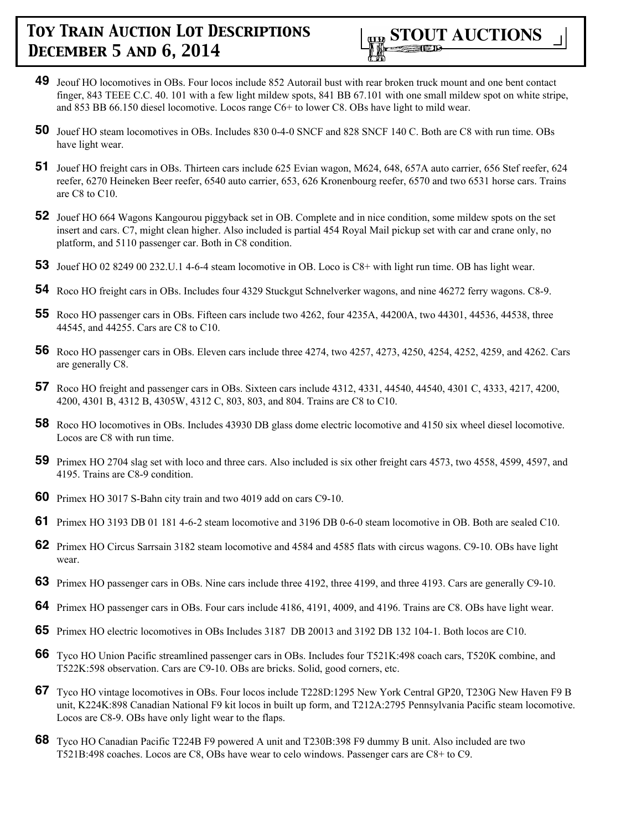- **49** Jeouf HO locomotives in OBs. Four locos include 852 Autorail bust with rear broken truck mount and one bent contact finger, 843 TEEE C.C. 40. 101 with a few light mildew spots, 841 BB 67.101 with one small mildew spot on white stripe, and 853 BB 66.150 diesel locomotive. Locos range C6+ to lower C8. OBs have light to mild wear.
- **50** Jouef HO steam locomotives in OBs. Includes 830 0-4-0 SNCF and 828 SNCF 140 C. Both are C8 with run time. OBs have light wear.
- **51** Jouef HO freight cars in OBs. Thirteen cars include 625 Evian wagon, M624, 648, 657A auto carrier, 656 Stef reefer, 624 reefer, 6270 Heineken Beer reefer, 6540 auto carrier, 653, 626 Kronenbourg reefer, 6570 and two 6531 horse cars. Trains are C8 to C10.
- **52** Jouef HO 664 Wagons Kangourou piggyback set in OB. Complete and in nice condition, some mildew spots on the set insert and cars. C7, might clean higher. Also included is partial 454 Royal Mail pickup set with car and crane only, no platform, and 5110 passenger car. Both in C8 condition.
- **53** Jouef HO 02 8249 00 232.U.1 4-6-4 steam locomotive in OB. Loco is C8+ with light run time. OB has light wear.
- **54** Roco HO freight cars in OBs. Includes four 4329 Stuckgut Schnelverker wagons, and nine 46272 ferry wagons. C8-9.
- **55** Roco HO passenger cars in OBs. Fifteen cars include two 4262, four 4235A, 44200A, two 44301, 44536, 44538, three 44545, and 44255. Cars are C8 to C10.
- **56** Roco HO passenger cars in OBs. Eleven cars include three 4274, two 4257, 4273, 4250, 4254, 4252, 4259, and 4262. Cars are generally C8.
- **57** Roco HO freight and passenger cars in OBs. Sixteen cars include 4312, 4331, 44540, 44540, 4301 C, 4333, 4217, 4200, 4200, 4301 B, 4312 B, 4305W, 4312 C, 803, 803, and 804. Trains are C8 to C10.
- **58** Roco HO locomotives in OBs. Includes 43930 DB glass dome electric locomotive and 4150 six wheel diesel locomotive. Locos are C8 with run time.
- **59** Primex HO 2704 slag set with loco and three cars. Also included is six other freight cars 4573, two 4558, 4599, 4597, and 4195. Trains are C8-9 condition.
- **60** Primex HO 3017 S-Bahn city train and two 4019 add on cars C9-10.
- **61** Primex HO 3193 DB 01 181 4-6-2 steam locomotive and 3196 DB 0-6-0 steam locomotive in OB. Both are sealed C10.
- **62** Primex HO Circus Sarrsain 3182 steam locomotive and 4584 and 4585 flats with circus wagons. C9-10. OBs have light wear.
- **63** Primex HO passenger cars in OBs. Nine cars include three 4192, three 4199, and three 4193. Cars are generally C9-10.
- **64** Primex HO passenger cars in OBs. Four cars include 4186, 4191, 4009, and 4196. Trains are C8. OBs have light wear.
- **65** Primex HO electric locomotives in OBs Includes 3187 DB 20013 and 3192 DB 132 104-1. Both locos are C10.
- **66** Tyco HO Union Pacific streamlined passenger cars in OBs. Includes four T521K:498 coach cars, T520K combine, and T522K:598 observation. Cars are C9-10. OBs are bricks. Solid, good corners, etc.
- **67** Tyco HO vintage locomotives in OBs. Four locos include T228D:1295 New York Central GP20, T230G New Haven F9 B unit, K224K:898 Canadian National F9 kit locos in built up form, and T212A:2795 Pennsylvania Pacific steam locomotive. Locos are C8-9. OBs have only light wear to the flaps.
- **68** Tyco HO Canadian Pacific T224B F9 powered A unit and T230B:398 F9 dummy B unit. Also included are two T521B:498 coaches. Locos are C8, OBs have wear to celo windows. Passenger cars are C8+ to C9.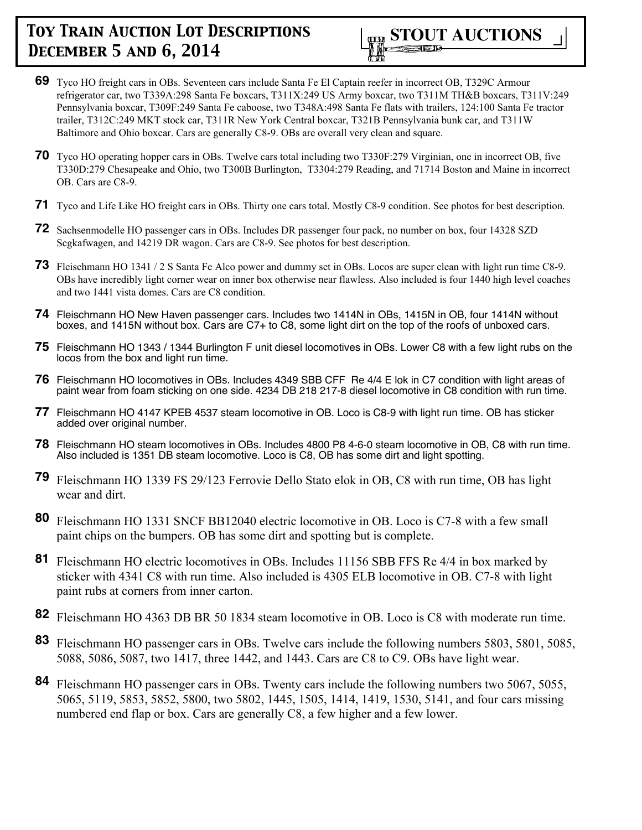- **69** Tyco HO freight cars in OBs. Seventeen cars include Santa Fe El Captain reefer in incorrect OB, T329C Armour refrigerator car, two T339A:298 Santa Fe boxcars, T311X:249 US Army boxcar, two T311M TH&B boxcars, T311V:249 Pennsylvania boxcar, T309F:249 Santa Fe caboose, two T348A:498 Santa Fe flats with trailers, 124:100 Santa Fe tractor trailer, T312C:249 MKT stock car, T311R New York Central boxcar, T321B Pennsylvania bunk car, and T311W Baltimore and Ohio boxcar. Cars are generally C8-9. OBs are overall very clean and square.
- **70** Tyco HO operating hopper cars in OBs. Twelve cars total including two T330F:279 Virginian, one in incorrect OB, five T330D:279 Chesapeake and Ohio, two T300B Burlington, T3304:279 Reading, and 71714 Boston and Maine in incorrect OB. Cars are C8-9.
- **71** Tyco and Life Like HO freight cars in OBs. Thirty one cars total. Mostly C8-9 condition. See photos for best description.
- **72** Sachsenmodelle HO passenger cars in OBs. Includes DR passenger four pack, no number on box, four 14328 SZD Scgkafwagen, and 14219 DR wagon. Cars are C8-9. See photos for best description.
- **73** Fleischmann HO 1341 / 2 S Santa Fe Alco power and dummy set in OBs. Locos are super clean with light run time C8-9. OBs have incredibly light corner wear on inner box otherwise near flawless. Also included is four 1440 high level coaches and two 1441 vista domes. Cars are C8 condition.
- **74** Fleischmann HO New Haven passenger cars. Includes two 1414N in OBs, 1415N in OB, four 1414N without boxes, and 1415N without box. Cars are C7+ to C8, some light dirt on the top of the roofs of unboxed cars.
- **75** Fleischmann HO 1343 / 1344 Burlington F unit diesel locomotives in OBs. Lower C8 with a few light rubs on the locos from the box and light run time.
- **76** Fleischmann HO locomotives in OBs. Includes 4349 SBB CFF Re 4/4 E lok in C7 condition with light areas of paint wear from foam sticking on one side. 4234 DB 218 217-8 diesel locomotive in C8 condition with run time.
- **77** Fleischmann HO 4147 KPEB 4537 steam locomotive in OB. Loco is C8-9 with light run time. OB has sticker added over original number.
- **78** Fleischmann HO steam locomotives in OBs. Includes 4800 P8 4-6-0 steam locomotive in OB, C8 with run time. Also included is 1351 DB steam locomotive. Loco is C8, OB has some dirt and light spotting.
- **79** Fleischmann HO 1339 FS 29/123 Ferrovie Dello Stato elok in OB, C8 with run time, OB has light wear and dirt.
- **80** Fleischmann HO 1331 SNCF BB12040 electric locomotive in OB. Loco is C7-8 with a few small paint chips on the bumpers. OB has some dirt and spotting but is complete.
- **81** Fleischmann HO electric locomotives in OBs. Includes 11156 SBB FFS Re 4/4 in box marked by sticker with 4341 C8 with run time. Also included is 4305 ELB locomotive in OB. C7-8 with light paint rubs at corners from inner carton.
- **82** Fleischmann HO 4363 DB BR 50 1834 steam locomotive in OB. Loco is C8 with moderate run time.
- **83** Fleischmann HO passenger cars in OBs. Twelve cars include the following numbers 5803, 5801, 5085, 5088, 5086, 5087, two 1417, three 1442, and 1443. Cars are C8 to C9. OBs have light wear.
- **84** Fleischmann HO passenger cars in OBs. Twenty cars include the following numbers two 5067, 5055, 5065, 5119, 5853, 5852, 5800, two 5802, 1445, 1505, 1414, 1419, 1530, 5141, and four cars missing numbered end flap or box. Cars are generally C8, a few higher and a few lower.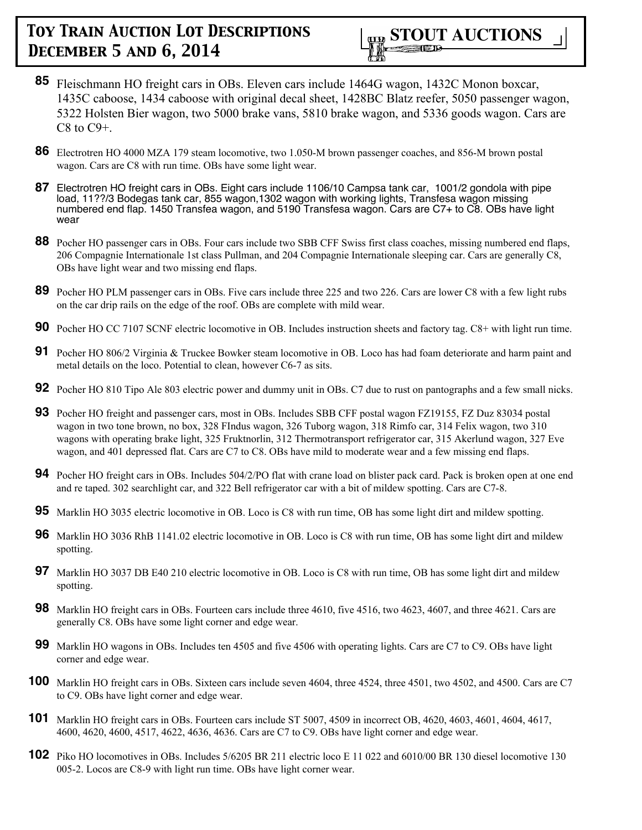- **85** Fleischmann HO freight cars in OBs. Eleven cars include 1464G wagon, 1432C Monon boxcar, 1435C caboose, 1434 caboose with original decal sheet, 1428BC Blatz reefer, 5050 passenger wagon, 5322 Holsten Bier wagon, two 5000 brake vans, 5810 brake wagon, and 5336 goods wagon. Cars are  $C8$  to  $C9+$ .
- **86** Electrotren HO 4000 MZA 179 steam locomotive, two 1.050-M brown passenger coaches, and 856-M brown postal wagon. Cars are C8 with run time. OBs have some light wear.
- **87** Electrotren HO freight cars in OBs. Eight cars include 1106/10 Campsa tank car, 1001/2 gondola with pipe load, 11??/3 Bodegas tank car, 855 wagon,1302 wagon with working lights, Transfesa wagon missing numbered end flap. 1450 Transfea wagon, and 5190 Transfesa wagon. Cars are C7+ to C8. OBs have light wear
- **88** Pocher HO passenger cars in OBs. Four cars include two SBB CFF Swiss first class coaches, missing numbered end flaps, 206 Compagnie Internationale 1st class Pullman, and 204 Compagnie Internationale sleeping car. Cars are generally C8, OBs have light wear and two missing end flaps.
- **89** Pocher HO PLM passenger cars in OBs. Five cars include three 225 and two 226. Cars are lower C8 with a few light rubs on the car drip rails on the edge of the roof. OBs are complete with mild wear.
- **90** Pocher HO CC 7107 SCNF electric locomotive in OB. Includes instruction sheets and factory tag. C8+ with light run time.
- **91** Pocher HO 806/2 Virginia & Truckee Bowker steam locomotive in OB. Loco has had foam deteriorate and harm paint and metal details on the loco. Potential to clean, however C6-7 as sits.
- **92** Pocher HO 810 Tipo Ale 803 electric power and dummy unit in OBs. C7 due to rust on pantographs and a few small nicks.
- **93** Pocher HO freight and passenger cars, most in OBs. Includes SBB CFF postal wagon FZ19155, FZ Duz 83034 postal wagon in two tone brown, no box, 328 FIndus wagon, 326 Tuborg wagon, 318 Rimfo car, 314 Felix wagon, two 310 wagons with operating brake light, 325 Fruktnorlin, 312 Thermotransport refrigerator car, 315 Akerlund wagon, 327 Eve wagon, and 401 depressed flat. Cars are C7 to C8. OBs have mild to moderate wear and a few missing end flaps.
- **94** Pocher HO freight cars in OBs. Includes 504/2/PO flat with crane load on blister pack card. Pack is broken open at one end and re taped. 302 searchlight car, and 322 Bell refrigerator car with a bit of mildew spotting. Cars are C7-8.
- **95** Marklin HO 3035 electric locomotive in OB. Loco is C8 with run time, OB has some light dirt and mildew spotting.
- **96** Marklin HO 3036 RhB 1141.02 electric locomotive in OB. Loco is C8 with run time, OB has some light dirt and mildew spotting.
- **97** Marklin HO 3037 DB E40 210 electric locomotive in OB. Loco is C8 with run time, OB has some light dirt and mildew spotting.
- **98** Marklin HO freight cars in OBs. Fourteen cars include three 4610, five 4516, two 4623, 4607, and three 4621. Cars are generally C8. OBs have some light corner and edge wear.
- **99** Marklin HO wagons in OBs. Includes ten 4505 and five 4506 with operating lights. Cars are C7 to C9. OBs have light corner and edge wear.
- **100** Marklin HO freight cars in OBs. Sixteen cars include seven 4604, three 4524, three 4501, two 4502, and 4500. Cars are C7 to C9. OBs have light corner and edge wear.
- **101** Marklin HO freight cars in OBs. Fourteen cars include ST 5007, 4509 in incorrect OB, 4620, 4603, 4601, 4604, 4617, 4600, 4620, 4600, 4517, 4622, 4636, 4636. Cars are C7 to C9. OBs have light corner and edge wear.
- **102** Piko HO locomotives in OBs. Includes 5/6205 BR 211 electric loco E 11 022 and 6010/00 BR 130 diesel locomotive 130 005-2. Locos are C8-9 with light run time. OBs have light corner wear.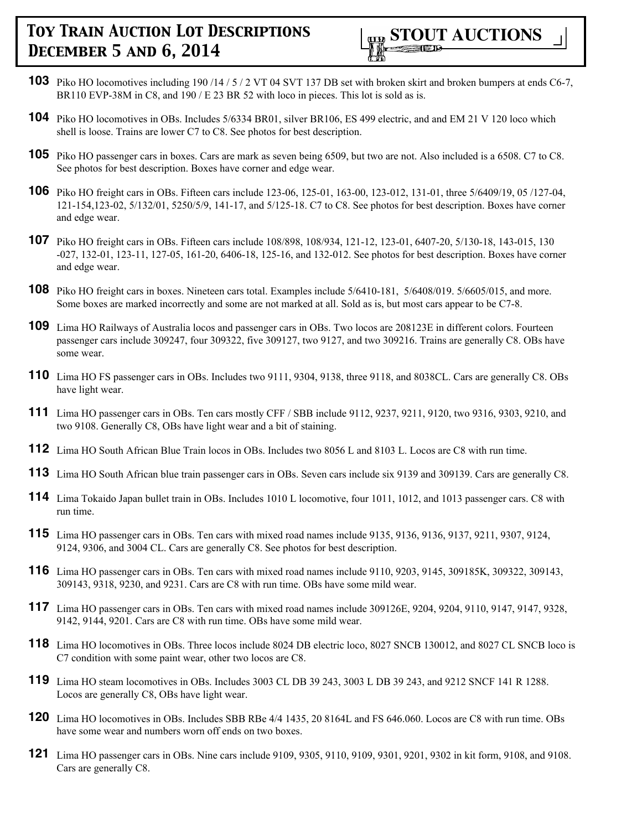

- **103** Piko HO locomotives including 190/14/5/2 VT 04 SVT 137 DB set with broken skirt and broken bumpers at ends C6-7, BR110 EVP-38M in C8, and 190 / E 23 BR 52 with loco in pieces. This lot is sold as is.
- **104** Piko HO locomotives in OBs. Includes 5/6334 BR01, silver BR106, ES 499 electric, and and EM 21 V 120 loco which shell is loose. Trains are lower C7 to C8. See photos for best description.
- **105** Piko HO passenger cars in boxes. Cars are mark as seven being 6509, but two are not. Also included is a 6508. C7 to C8. See photos for best description. Boxes have corner and edge wear.
- **106** Piko HO freight cars in OBs. Fifteen cars include 123-06, 125-01, 163-00, 123-012, 131-01, three 5/6409/19, 05 /127-04, 121-154,123-02, 5/132/01, 5250/5/9, 141-17, and 5/125-18. C7 to C8. See photos for best description. Boxes have corner and edge wear.
- **107** Piko HO freight cars in OBs. Fifteen cars include 108/898, 108/934, 121-12, 123-01, 6407-20, 5/130-18, 143-015, 130 -027, 132-01, 123-11, 127-05, 161-20, 6406-18, 125-16, and 132-012. See photos for best description. Boxes have corner and edge wear.
- **108** Piko HO freight cars in boxes. Nineteen cars total. Examples include 5/6410-181, 5/6408/019. 5/6605/015, and more. Some boxes are marked incorrectly and some are not marked at all. Sold as is, but most cars appear to be C7-8.
- **109** Lima HO Railways of Australia locos and passenger cars in OBs. Two locos are 208123E in different colors. Fourteen passenger cars include 309247, four 309322, five 309127, two 9127, and two 309216. Trains are generally C8. OBs have some wear.
- **110** Lima HO FS passenger cars in OBs. Includes two 9111, 9304, 9138, three 9118, and 8038CL. Cars are generally C8. OBs have light wear.
- **111** Lima HO passenger cars in OBs. Ten cars mostly CFF / SBB include 9112, 9237, 9211, 9120, two 9316, 9303, 9210, and two 9108. Generally C8, OBs have light wear and a bit of staining.
- **112** Lima HO South African Blue Train locos in OBs. Includes two 8056 L and 8103 L. Locos are C8 with run time.
- **113** Lima HO South African blue train passenger cars in OBs. Seven cars include six 9139 and 309139. Cars are generally C8.
- **114** Lima Tokaido Japan bullet train in OBs. Includes 1010 L locomotive, four 1011, 1012, and 1013 passenger cars. C8 with run time.
- **115** Lima HO passenger cars in OBs. Ten cars with mixed road names include 9135, 9136, 9136, 9137, 9211, 9307, 9124, 9124, 9306, and 3004 CL. Cars are generally C8. See photos for best description.
- **116** Lima HO passenger cars in OBs. Ten cars with mixed road names include 9110, 9203, 9145, 309185K, 309322, 309143, 309143, 9318, 9230, and 9231. Cars are C8 with run time. OBs have some mild wear.
- **117** Lima HO passenger cars in OBs. Ten cars with mixed road names include 309126E, 9204, 9204, 9110, 9147, 9147, 9328, 9142, 9144, 9201. Cars are C8 with run time. OBs have some mild wear.
- **118** Lima HO locomotives in OBs. Three locos include 8024 DB electric loco, 8027 SNCB 130012, and 8027 CL SNCB loco is C7 condition with some paint wear, other two locos are C8.
- **119** Lima HO steam locomotives in OBs. Includes 3003 CL DB 39 243, 3003 L DB 39 243, and 9212 SNCF 141 R 1288. Locos are generally C8, OBs have light wear.
- **120** Lima HO locomotives in OBs. Includes SBB RBe 4/4 1435, 20 8164L and FS 646.060. Locos are C8 with run time. OBs have some wear and numbers worn off ends on two boxes.
- **121** Lima HO passenger cars in OBs. Nine cars include 9109, 9305, 9110, 9109, 9301, 9201, 9302 in kit form, 9108, and 9108. Cars are generally C8.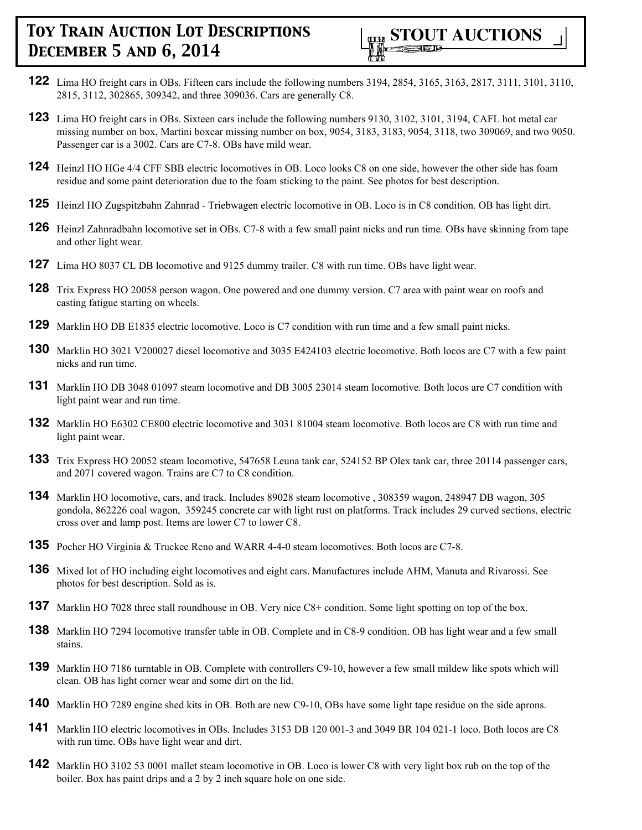

- **122** Lima HO freight cars in OBs. Fifteen cars include the following numbers 3194, 2854, 3165, 3163, 2817, 3111, 3101, 3110, 2815, 3112, 302865, 309342, and three 309036. Cars are generally C8.
- **123** Lima HO freight cars in OBs. Sixteen cars include the following numbers 9130, 3102, 3101, 3194, CAFL hot metal car missing number on box, Martini boxcar missing number on box, 9054, 3183, 3183, 9054, 3118, two 309069, and two 9050. Passenger car is a 3002. Cars are C7-8. OBs have mild wear.
- **124** Heinzl HO HGe 4/4 CFF SBB electric locomotives in OB. Loco looks C8 on one side, however the other side has foam residue and some paint deterioration due to the foam sticking to the paint. See photos for best description.
- **125** Heinzl HO Zugspitzbahn Zahnrad Triebwagen electric locomotive in OB. Loco is in C8 condition. OB has light dirt.
- **126** Heinzl Zahnradbahn locomotive set in OBs. C7-8 with a few small paint nicks and run time. OBs have skinning from tape and other light wear.
- **127** Lima HO 8037 CL DB locomotive and 9125 dummy trailer. C8 with run time. OBs have light wear.
- **128** Trix Express HO 20058 person wagon. One powered and one dummy version. C7 area with paint wear on roofs and casting fatigue starting on wheels.
- **129** Marklin HO DB E1835 electric locomotive. Loco is C7 condition with run time and a few small paint nicks.
- **130** Marklin HO 3021 V200027 diesel locomotive and 3035 E424103 electric locomotive. Both locos are C7 with a few paint nicks and run time.
- **131** Marklin HO DB 3048 01097 steam locomotive and DB 3005 23014 steam locomotive. Both locos are C7 condition with light paint wear and run time.
- **132** Marklin HO E6302 CE800 electric locomotive and 3031 81004 steam locomotive. Both locos are C8 with run time and light paint wear.
- **133** Trix Express HO 20052 steam locomotive, 547658 Leuna tank car, 524152 BP Olex tank car, three 20114 passenger cars, and 2071 covered wagon. Trains are C7 to C8 condition.
- **134** Marklin HO locomotive, cars, and track. Includes 89028 steam locomotive , 308359 wagon, 248947 DB wagon, 305 gondola, 862226 coal wagon, 359245 concrete car with light rust on platforms. Track includes 29 curved sections, electric cross over and lamp post. Items are lower C7 to lower C8.
- **135** Pocher HO Virginia & Truckee Reno and WARR 4-4-0 steam locomotives. Both locos are C7-8.
- **136** Mixed lot of HO including eight locomotives and eight cars. Manufactures include AHM, Manuta and Rivarossi. See photos for best description. Sold as is.
- **137** Marklin HO 7028 three stall roundhouse in OB. Very nice C8+ condition. Some light spotting on top of the box.
- **138** Marklin HO 7294 locomotive transfer table in OB. Complete and in C8-9 condition. OB has light wear and a few small stains.
- **139** Marklin HO 7186 turntable in OB. Complete with controllers C9-10, however a few small mildew like spots which will clean. OB has light corner wear and some dirt on the lid.
- **140** Marklin HO 7289 engine shed kits in OB. Both are new C9-10, OBs have some light tape residue on the side aprons.
- **141** Marklin HO electric locomotives in OBs. Includes 3153 DB 120 001-3 and 3049 BR 104 021-1 loco. Both locos are C8 with run time. OBs have light wear and dirt.
- **142** Marklin HO 3102 53 0001 mallet steam locomotive in OB. Loco is lower C8 with very light box rub on the top of the boiler. Box has paint drips and a 2 by 2 inch square hole on one side.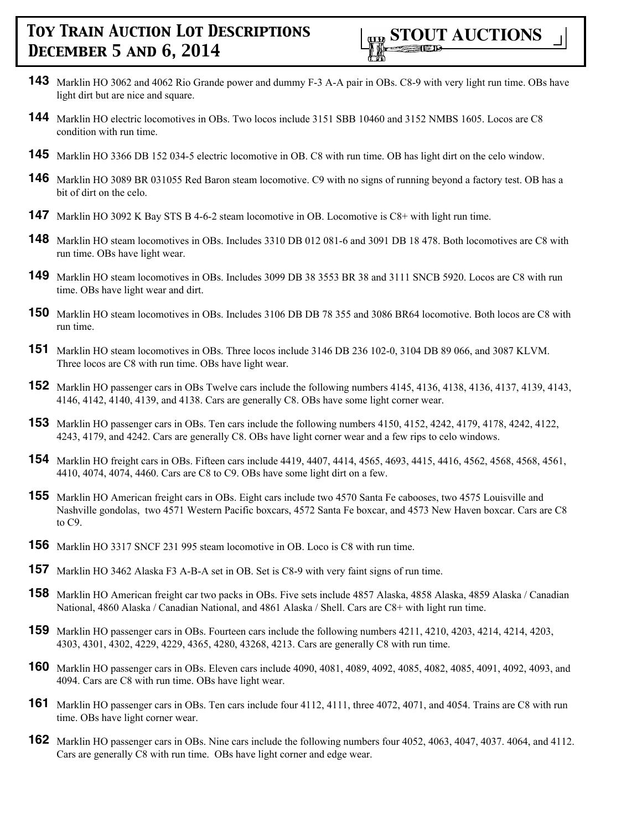- **143** Marklin HO 3062 and 4062 Rio Grande power and dummy F-3 A-A pair in OBs. C8-9 with very light run time. OBs have light dirt but are nice and square.
- **144** Marklin HO electric locomotives in OBs. Two locos include 3151 SBB 10460 and 3152 NMBS 1605. Locos are C8 condition with run time.
- **145** Marklin HO 3366 DB 152 034-5 electric locomotive in OB. C8 with run time. OB has light dirt on the celo window.
- **146** Marklin HO 3089 BR 031055 Red Baron steam locomotive. C9 with no signs of running beyond a factory test. OB has a bit of dirt on the celo.
- **147** Marklin HO 3092 K Bay STS B 4-6-2 steam locomotive in OB. Locomotive is C8+ with light run time.
- **148** Marklin HO steam locomotives in OBs. Includes 3310 DB 012 081-6 and 3091 DB 18 478. Both locomotives are C8 with run time. OBs have light wear.
- **149** Marklin HO steam locomotives in OBs. Includes 3099 DB 38 3553 BR 38 and 3111 SNCB 5920. Locos are C8 with run time. OBs have light wear and dirt.
- **150** Marklin HO steam locomotives in OBs. Includes 3106 DB DB 78 355 and 3086 BR64 locomotive. Both locos are C8 with run time.
- **151** Marklin HO steam locomotives in OBs. Three locos include 3146 DB 236 102-0, 3104 DB 89 066, and 3087 KLVM. Three locos are C8 with run time. OBs have light wear.
- **152** Marklin HO passenger cars in OBs Twelve cars include the following numbers 4145, 4136, 4138, 4136, 4137, 4139, 4143, 4146, 4142, 4140, 4139, and 4138. Cars are generally C8. OBs have some light corner wear.
- **153** Marklin HO passenger cars in OBs. Ten cars include the following numbers 4150, 4152, 4242, 4179, 4178, 4242, 4122, 4243, 4179, and 4242. Cars are generally C8. OBs have light corner wear and a few rips to celo windows.
- **154** Marklin HO freight cars in OBs. Fifteen cars include 4419, 4407, 4414, 4565, 4693, 4415, 4416, 4562, 4568, 4568, 4561, 4410, 4074, 4074, 4460. Cars are C8 to C9. OBs have some light dirt on a few.
- **155** Marklin HO American freight cars in OBs. Eight cars include two 4570 Santa Fe cabooses, two 4575 Louisville and Nashville gondolas, two 4571 Western Pacific boxcars, 4572 Santa Fe boxcar, and 4573 New Haven boxcar. Cars are C8 to C9.
- **156** Marklin HO 3317 SNCF 231 995 steam locomotive in OB. Loco is C8 with run time.
- **157** Marklin HO 3462 Alaska F3 A-B-A set in OB. Set is C8-9 with very faint signs of run time.
- **158** Marklin HO American freight car two packs in OBs. Five sets include 4857 Alaska, 4858 Alaska, 4859 Alaska / Canadian National, 4860 Alaska / Canadian National, and 4861 Alaska / Shell. Cars are C8+ with light run time.
- **159** Marklin HO passenger cars in OBs. Fourteen cars include the following numbers 4211, 4210, 4203, 4214, 4214, 4203, 4303, 4301, 4302, 4229, 4229, 4365, 4280, 43268, 4213. Cars are generally C8 with run time.
- **160** Marklin HO passenger cars in OBs. Eleven cars include 4090, 4081, 4089, 4092, 4085, 4082, 4085, 4091, 4092, 4093, and 4094. Cars are C8 with run time. OBs have light wear.
- **161** Marklin HO passenger cars in OBs. Ten cars include four 4112, 4111, three 4072, 4071, and 4054. Trains are C8 with run time. OBs have light corner wear.
- **162** Marklin HO passenger cars in OBs. Nine cars include the following numbers four 4052, 4063, 4047, 4037. 4064, and 4112. Cars are generally C8 with run time. OBs have light corner and edge wear.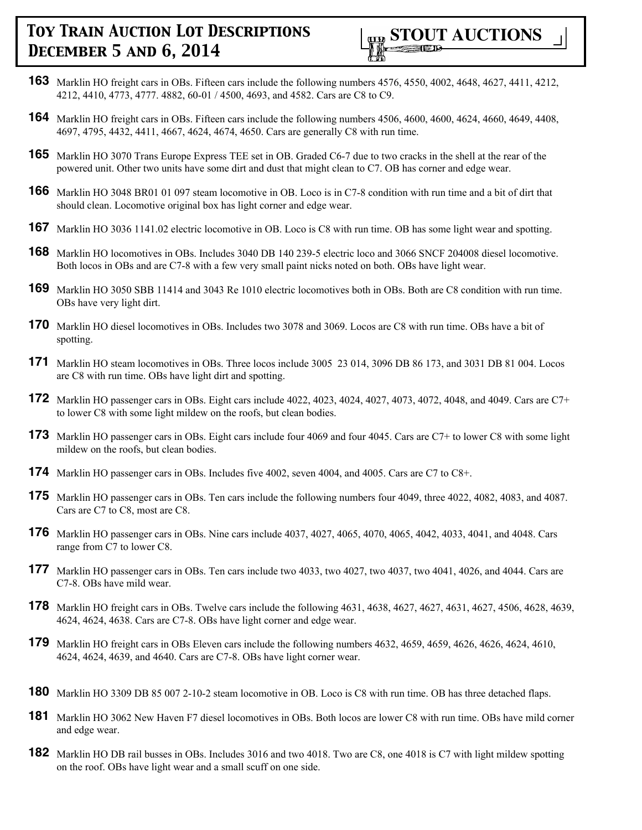

- **163** Marklin HO freight cars in OBs. Fifteen cars include the following numbers 4576, 4550, 4002, 4648, 4627, 4411, 4212, 4212, 4410, 4773, 4777. 4882, 60-01 / 4500, 4693, and 4582. Cars are C8 to C9.
- **164** Marklin HO freight cars in OBs. Fifteen cars include the following numbers 4506, 4600, 4600, 4624, 4660, 4649, 4408, 4697, 4795, 4432, 4411, 4667, 4624, 4674, 4650. Cars are generally C8 with run time.
- **165** Marklin HO 3070 Trans Europe Express TEE set in OB. Graded C6-7 due to two cracks in the shell at the rear of the powered unit. Other two units have some dirt and dust that might clean to C7. OB has corner and edge wear.
- **166** Marklin HO 3048 BR01 01 097 steam locomotive in OB. Loco is in C7-8 condition with run time and a bit of dirt that should clean. Locomotive original box has light corner and edge wear.
- **167** Marklin HO 3036 1141.02 electric locomotive in OB. Loco is C8 with run time. OB has some light wear and spotting.
- **168** Marklin HO locomotives in OBs. Includes 3040 DB 140 239-5 electric loco and 3066 SNCF 204008 diesel locomotive. Both locos in OBs and are C7-8 with a few very small paint nicks noted on both. OBs have light wear.
- **169** Marklin HO 3050 SBB 11414 and 3043 Re 1010 electric locomotives both in OBs. Both are C8 condition with run time. OBs have very light dirt.
- **170** Marklin HO diesel locomotives in OBs. Includes two 3078 and 3069. Locos are C8 with run time. OBs have a bit of spotting.
- **171** Marklin HO steam locomotives in OBs. Three locos include 3005 23 014, 3096 DB 86 173, and 3031 DB 81 004. Locos are C8 with run time. OBs have light dirt and spotting.
- **172** Marklin HO passenger cars in OBs. Eight cars include 4022, 4023, 4024, 4027, 4073, 4072, 4048, and 4049. Cars are C7+ to lower C8 with some light mildew on the roofs, but clean bodies.
- **173** Marklin HO passenger cars in OBs. Eight cars include four 4069 and four 4045. Cars are C7+ to lower C8 with some light mildew on the roofs, but clean bodies.
- **174** Marklin HO passenger cars in OBs. Includes five 4002, seven 4004, and 4005. Cars are C7 to C8+.
- **175** Marklin HO passenger cars in OBs. Ten cars include the following numbers four 4049, three 4022, 4082, 4083, and 4087. Cars are C7 to C8, most are C8.
- **176** Marklin HO passenger cars in OBs. Nine cars include 4037, 4027, 4065, 4070, 4065, 4042, 4033, 4041, and 4048. Cars range from C7 to lower C8.
- **177** Marklin HO passenger cars in OBs. Ten cars include two 4033, two 4027, two 4037, two 4041, 4026, and 4044. Cars are C7-8. OBs have mild wear.
- **178** Marklin HO freight cars in OBs. Twelve cars include the following 4631, 4638, 4627, 4627, 4631, 4627, 4506, 4628, 4639, 4624, 4624, 4638. Cars are C7-8. OBs have light corner and edge wear.
- **179** Marklin HO freight cars in OBs Eleven cars include the following numbers 4632, 4659, 4659, 4626, 4626, 4624, 4610, 4624, 4624, 4639, and 4640. Cars are C7-8. OBs have light corner wear.
- **180** Marklin HO 3309 DB 85 007 2-10-2 steam locomotive in OB. Loco is C8 with run time. OB has three detached flaps.
- **181** Marklin HO 3062 New Haven F7 diesel locomotives in OBs. Both locos are lower C8 with run time. OBs have mild corner and edge wear.
- **182** Marklin HO DB rail busses in OBs. Includes 3016 and two 4018. Two are C8, one 4018 is C7 with light mildew spotting on the roof. OBs have light wear and a small scuff on one side.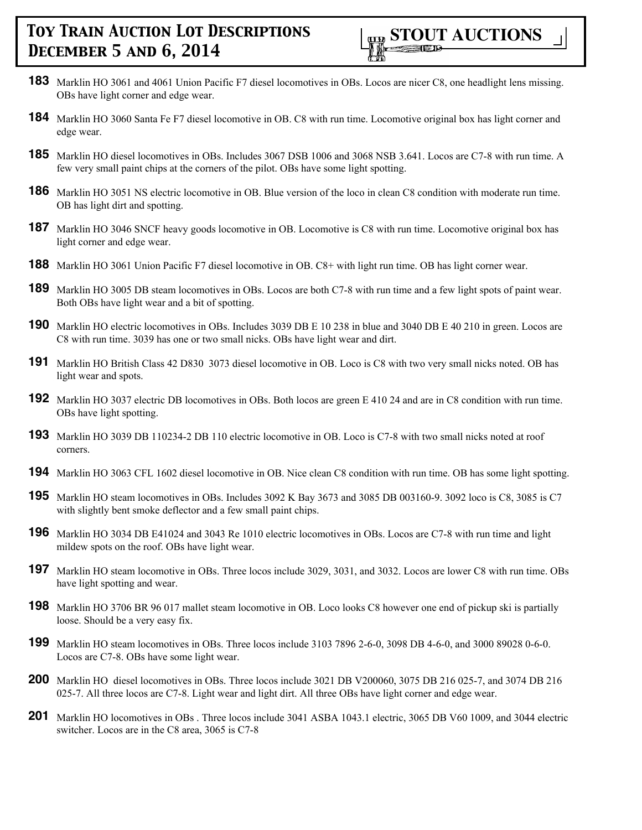- **183** Marklin HO 3061 and 4061 Union Pacific F7 diesel locomotives in OBs. Locos are nicer C8, one headlight lens missing. OBs have light corner and edge wear.
- **184** Marklin HO 3060 Santa Fe F7 diesel locomotive in OB. C8 with run time. Locomotive original box has light corner and edge wear.
- **185** Marklin HO diesel locomotives in OBs. Includes 3067 DSB 1006 and 3068 NSB 3.641. Locos are C7-8 with run time. A few very small paint chips at the corners of the pilot. OBs have some light spotting.
- **186** Marklin HO 3051 NS electric locomotive in OB. Blue version of the loco in clean C8 condition with moderate run time. OB has light dirt and spotting.
- **187** Marklin HO 3046 SNCF heavy goods locomotive in OB. Locomotive is C8 with run time. Locomotive original box has light corner and edge wear.
- **188** Marklin HO 3061 Union Pacific F7 diesel locomotive in OB. C8+ with light run time. OB has light corner wear.
- **189** Marklin HO 3005 DB steam locomotives in OBs. Locos are both C7-8 with run time and a few light spots of paint wear. Both OBs have light wear and a bit of spotting.
- **190** Marklin HO electric locomotives in OBs. Includes 3039 DB E 10 238 in blue and 3040 DB E 40 210 in green. Locos are C8 with run time. 3039 has one or two small nicks. OBs have light wear and dirt.
- **191** Marklin HO British Class 42 D830 3073 diesel locomotive in OB. Loco is C8 with two very small nicks noted. OB has light wear and spots.
- **192** Marklin HO 3037 electric DB locomotives in OBs. Both locos are green E 410 24 and are in C8 condition with run time. OBs have light spotting.
- **193** Marklin HO 3039 DB 110234-2 DB 110 electric locomotive in OB. Loco is C7-8 with two small nicks noted at roof corners.
- **194** Marklin HO 3063 CFL 1602 diesel locomotive in OB. Nice clean C8 condition with run time. OB has some light spotting.
- **195** Marklin HO steam locomotives in OBs. Includes 3092 K Bay 3673 and 3085 DB 003160-9. 3092 loco is C8, 3085 is C7 with slightly bent smoke deflector and a few small paint chips.
- **196** Marklin HO 3034 DB E41024 and 3043 Re 1010 electric locomotives in OBs. Locos are C7-8 with run time and light mildew spots on the roof. OBs have light wear.
- **197** Marklin HO steam locomotive in OBs. Three locos include 3029, 3031, and 3032. Locos are lower C8 with run time. OBs have light spotting and wear.
- **198** Marklin HO 3706 BR 96 017 mallet steam locomotive in OB. Loco looks C8 however one end of pickup ski is partially loose. Should be a very easy fix.
- **199** Marklin HO steam locomotives in OBs. Three locos include 3103 7896 2-6-0, 3098 DB 4-6-0, and 3000 89028 0-6-0. Locos are C7-8. OBs have some light wear.
- **200** Marklin HO diesel locomotives in OBs. Three locos include 3021 DB V200060, 3075 DB 216 025-7, and 3074 DB 216 025-7. All three locos are C7-8. Light wear and light dirt. All three OBs have light corner and edge wear.
- **201** Marklin HO locomotives in OBs . Three locos include 3041 ASBA 1043.1 electric, 3065 DB V60 1009, and 3044 electric switcher. Locos are in the C8 area, 3065 is C7-8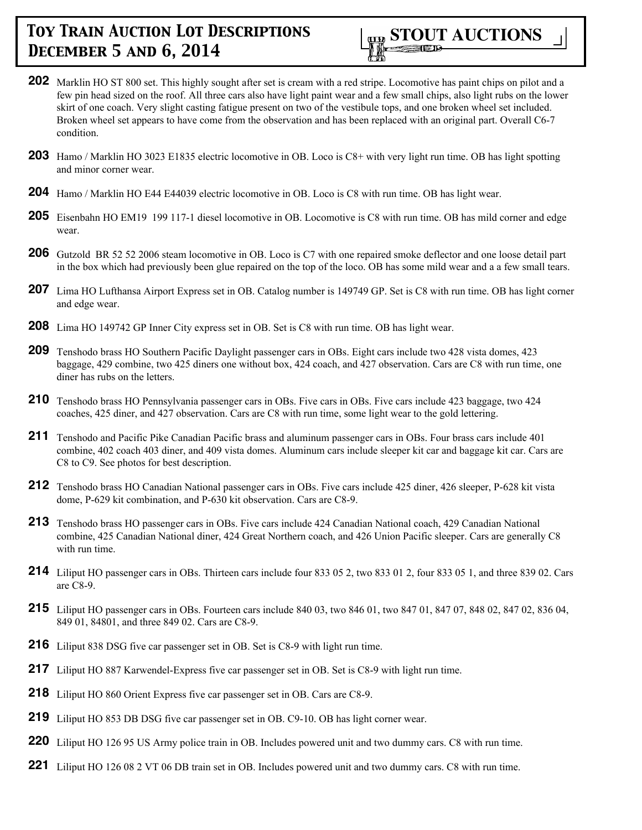

- **202** Marklin HO ST 800 set. This highly sought after set is cream with a red stripe. Locomotive has paint chips on pilot and a few pin head sized on the roof. All three cars also have light paint wear and a few small chips, also light rubs on the lower skirt of one coach. Very slight casting fatigue present on two of the vestibule tops, and one broken wheel set included. Broken wheel set appears to have come from the observation and has been replaced with an original part. Overall C6-7 condition.
- **203** Hamo / Marklin HO 3023 E1835 electric locomotive in OB. Loco is C8+ with very light run time. OB has light spotting and minor corner wear.
- **204** Hamo / Marklin HO E44 E44039 electric locomotive in OB. Loco is C8 with run time. OB has light wear.
- **205** Eisenbahn HO EM19 199 117-1 diesel locomotive in OB. Locomotive is C8 with run time. OB has mild corner and edge wear.
- **206** Gutzold BR 52 52 2006 steam locomotive in OB. Loco is C7 with one repaired smoke deflector and one loose detail part in the box which had previously been glue repaired on the top of the loco. OB has some mild wear and a a few small tears.
- **207** Lima HO Lufthansa Airport Express set in OB. Catalog number is 149749 GP. Set is C8 with run time. OB has light corner and edge wear.
- **208** Lima HO 149742 GP Inner City express set in OB. Set is C8 with run time. OB has light wear.
- **209** Tenshodo brass HO Southern Pacific Daylight passenger cars in OBs. Eight cars include two 428 vista domes, 423 baggage, 429 combine, two 425 diners one without box, 424 coach, and 427 observation. Cars are C8 with run time, one diner has rubs on the letters.
- 210 Tenshodo brass HO Pennsylvania passenger cars in OBs. Five cars in OBs. Five cars include 423 baggage, two 424 coaches, 425 diner, and 427 observation. Cars are C8 with run time, some light wear to the gold lettering.
- **211** Tenshodo and Pacific Pike Canadian Pacific brass and aluminum passenger cars in OBs. Four brass cars include 401 combine, 402 coach 403 diner, and 409 vista domes. Aluminum cars include sleeper kit car and baggage kit car. Cars are C8 to C9. See photos for best description.
- **212** Tenshodo brass HO Canadian National passenger cars in OBs. Five cars include 425 diner, 426 sleeper, P-628 kit vista dome, P-629 kit combination, and P-630 kit observation. Cars are C8-9.
- **213** Tenshodo brass HO passenger cars in OBs. Five cars include 424 Canadian National coach, 429 Canadian National combine, 425 Canadian National diner, 424 Great Northern coach, and 426 Union Pacific sleeper. Cars are generally C8 with run time.
- **214** Liliput HO passenger cars in OBs. Thirteen cars include four 833 05 2, two 833 01 2, four 833 05 1, and three 839 02. Cars are C8-9.
- **215** Liliput HO passenger cars in OBs. Fourteen cars include 840 03, two 846 01, two 847 01, 847 07, 848 02, 847 02, 836 04, 849 01, 84801, and three 849 02. Cars are C8-9.
- **216** Liliput 838 DSG five car passenger set in OB. Set is C8-9 with light run time.
- **217** Liliput HO 887 Karwendel-Express five car passenger set in OB. Set is C8-9 with light run time.
- **218** Liliput HO 860 Orient Express five car passenger set in OB. Cars are C8-9.
- **219** Liliput HO 853 DB DSG five car passenger set in OB. C9-10. OB has light corner wear.
- **220** Liliput HO 126 95 US Army police train in OB. Includes powered unit and two dummy cars. C8 with run time.
- **221** Liliput HO 126 08 2 VT 06 DB train set in OB. Includes powered unit and two dummy cars. C8 with run time.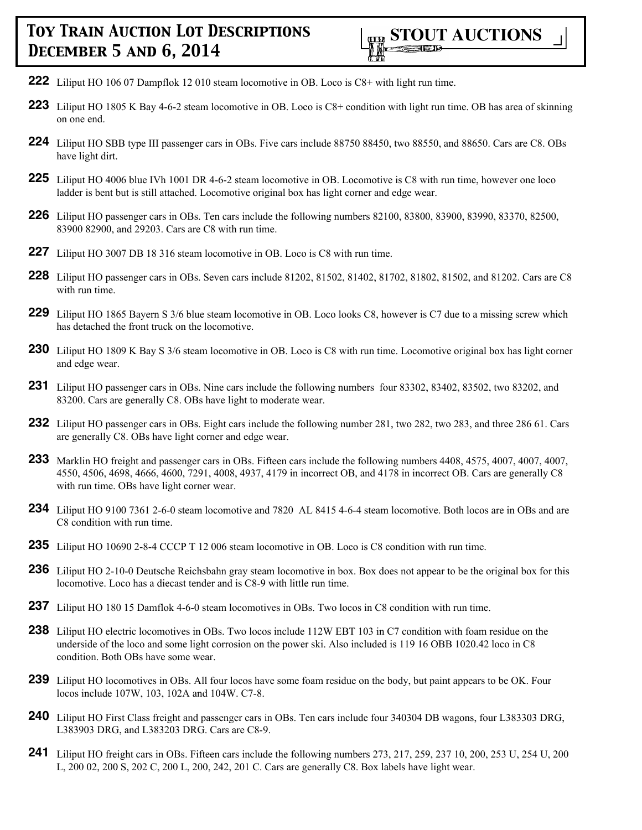- **222** Liliput HO 106 07 Dampflok 12 010 steam locomotive in OB. Loco is C8+ with light run time.
- **223** Liliput HO 1805 K Bay 4-6-2 steam locomotive in OB. Loco is C8+ condition with light run time. OB has area of skinning on one end.
- **224** Liliput HO SBB type III passenger cars in OBs. Five cars include 88750 88450, two 88550, and 88650. Cars are C8. OBs have light dirt.
- **225** Liliput HO 4006 blue IVh 1001 DR 4-6-2 steam locomotive in OB. Locomotive is C8 with run time, however one loco ladder is bent but is still attached. Locomotive original box has light corner and edge wear.
- **226** Liliput HO passenger cars in OBs. Ten cars include the following numbers 82100, 83800, 83900, 83990, 83370, 82500, 83900 82900, and 29203. Cars are C8 with run time.
- **227** Liliput HO 3007 DB 18 316 steam locomotive in OB. Loco is C8 with run time.
- **228** Liliput HO passenger cars in OBs. Seven cars include 81202, 81502, 81402, 81702, 81802, 81502, and 81202. Cars are C8 with run time.
- **229** Liliput HO 1865 Bayern S 3/6 blue steam locomotive in OB. Loco looks C8, however is C7 due to a missing screw which has detached the front truck on the locomotive.
- **230** Liliput HO 1809 K Bay S 3/6 steam locomotive in OB. Loco is C8 with run time. Locomotive original box has light corner and edge wear.
- **231** Liliput HO passenger cars in OBs. Nine cars include the following numbers four 83302, 83402, 83502, two 83202, and 83200. Cars are generally C8. OBs have light to moderate wear.
- **232** Liliput HO passenger cars in OBs. Eight cars include the following number 281, two 282, two 283, and three 286 61. Cars are generally C8. OBs have light corner and edge wear.
- **233** Marklin HO freight and passenger cars in OBs. Fifteen cars include the following numbers 4408, 4575, 4007, 4007, 4007, 4550, 4506, 4698, 4666, 4600, 7291, 4008, 4937, 4179 in incorrect OB, and 4178 in incorrect OB. Cars are generally C8 with run time. OBs have light corner wear.
- **234** Liliput HO 9100 7361 2-6-0 steam locomotive and 7820 AL 8415 4-6-4 steam locomotive. Both locos are in OBs and are C8 condition with run time.
- **235** Liliput HO 10690 2-8-4 CCCP T 12 006 steam locomotive in OB. Loco is C8 condition with run time.
- **236** Liliput HO 2-10-0 Deutsche Reichsbahn gray steam locomotive in box. Box does not appear to be the original box for this locomotive. Loco has a diecast tender and is C8-9 with little run time.
- **237** Liliput HO 180 15 Damflok 4-6-0 steam locomotives in OBs. Two locos in C8 condition with run time.
- **238** Liliput HO electric locomotives in OBs. Two locos include 112W EBT 103 in C7 condition with foam residue on the underside of the loco and some light corrosion on the power ski. Also included is 119 16 OBB 1020.42 loco in C8 condition. Both OBs have some wear.
- **239** Liliput HO locomotives in OBs. All four locos have some foam residue on the body, but paint appears to be OK. Four locos include 107W, 103, 102A and 104W. C7-8.
- **240** Liliput HO First Class freight and passenger cars in OBs. Ten cars include four 340304 DB wagons, four L383303 DRG, L383903 DRG, and L383203 DRG. Cars are C8-9.
- **241** Liliput HO freight cars in OBs. Fifteen cars include the following numbers 273, 217, 259, 237 10, 200, 253 U, 254 U, 200 L, 200 02, 200 S, 202 C, 200 L, 200, 242, 201 C. Cars are generally C8. Box labels have light wear.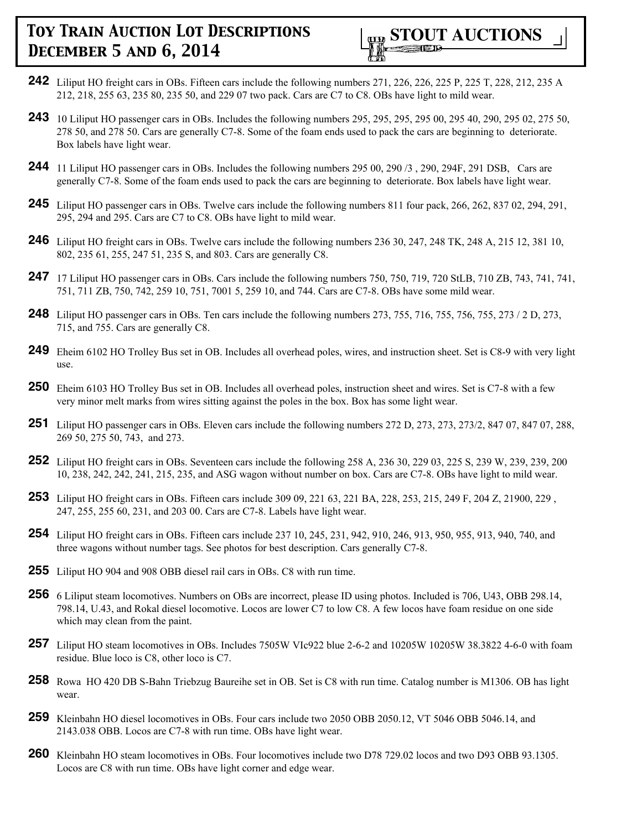

- **242** Liliput HO freight cars in OBs. Fifteen cars include the following numbers 271, 226, 226, 225 P, 225 T, 228, 212, 235 A 212, 218, 255 63, 235 80, 235 50, and 229 07 two pack. Cars are C7 to C8. OBs have light to mild wear.
- **243** 10 Liliput HO passenger cars in OBs. Includes the following numbers 295, 295, 295, 295 00, 295 40, 290, 295 02, 275 50, 278 50, and 278 50. Cars are generally C7-8. Some of the foam ends used to pack the cars are beginning to deteriorate. Box labels have light wear.
- **244** 11 Liliput HO passenger cars in OBs. Includes the following numbers 295 00, 290 /3 , 290, 294F, 291 DSB, Cars are generally C7-8. Some of the foam ends used to pack the cars are beginning to deteriorate. Box labels have light wear.
- **245** Liliput HO passenger cars in OBs. Twelve cars include the following numbers 811 four pack, 266, 262, 837 02, 294, 291, 295, 294 and 295. Cars are C7 to C8. OBs have light to mild wear.
- **246** Liliput HO freight cars in OBs. Twelve cars include the following numbers 236 30, 247, 248 TK, 248 A, 215 12, 381 10, 802, 235 61, 255, 247 51, 235 S, and 803. Cars are generally C8.
- **247** 17 Liliput HO passenger cars in OBs. Cars include the following numbers 750, 750, 719, 720 StLB, 710 ZB, 743, 741, 741, 751, 711 ZB, 750, 742, 259 10, 751, 7001 5, 259 10, and 744. Cars are C7-8. OBs have some mild wear.
- **248** Liliput HO passenger cars in OBs. Ten cars include the following numbers 273, 755, 716, 755, 756, 755, 273 / 2 D, 273, 715, and 755. Cars are generally C8.
- **249** Eheim 6102 HO Trolley Bus set in OB. Includes all overhead poles, wires, and instruction sheet. Set is C8-9 with very light use.
- **250** Eheim 6103 HO Trolley Bus set in OB. Includes all overhead poles, instruction sheet and wires. Set is C7-8 with a few very minor melt marks from wires sitting against the poles in the box. Box has some light wear.
- **251** Liliput HO passenger cars in OBs. Eleven cars include the following numbers 272 D, 273, 273, 273/2, 847 07, 847 07, 288, 269 50, 275 50, 743, and 273.
- **252** Liliput HO freight cars in OBs. Seventeen cars include the following 258 A, 236 30, 229 03, 225 S, 239 W, 239, 239, 200 10, 238, 242, 242, 241, 215, 235, and ASG wagon without number on box. Cars are C7-8. OBs have light to mild wear.
- **253** Liliput HO freight cars in OBs. Fifteen cars include 309 09, 221 63, 221 BA, 228, 253, 215, 249 F, 204 Z, 21900, 229 , 247, 255, 255 60, 231, and 203 00. Cars are C7-8. Labels have light wear.
- **254** Liliput HO freight cars in OBs. Fifteen cars include 237 10, 245, 231, 942, 910, 246, 913, 950, 955, 913, 940, 740, and three wagons without number tags. See photos for best description. Cars generally C7-8.
- **255** Liliput HO 904 and 908 OBB diesel rail cars in OBs. C8 with run time.
- **256** 6 Liliput steam locomotives. Numbers on OBs are incorrect, please ID using photos. Included is 706, U43, OBB 298.14, 798.14, U.43, and Rokal diesel locomotive. Locos are lower C7 to low C8. A few locos have foam residue on one side which may clean from the paint.
- **257** Liliput HO steam locomotives in OBs. Includes 7505W VIc922 blue 2-6-2 and 10205W 10205W 38.3822 4-6-0 with foam residue. Blue loco is C8, other loco is C7.
- **258** Rowa HO 420 DB S-Bahn Triebzug Baureihe set in OB. Set is C8 with run time. Catalog number is M1306. OB has light wear.
- **259** Kleinbahn HO diesel locomotives in OBs. Four cars include two 2050 OBB 2050.12, VT 5046 OBB 5046.14, and 2143.038 OBB. Locos are C7-8 with run time. OBs have light wear.
- **260** Kleinbahn HO steam locomotives in OBs. Four locomotives include two D78 729.02 locos and two D93 OBB 93.1305. Locos are C8 with run time. OBs have light corner and edge wear.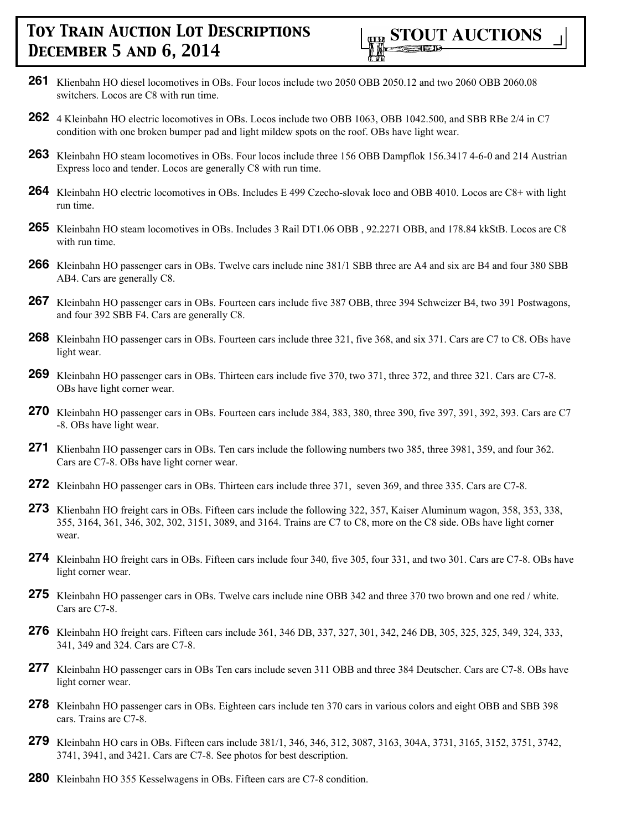- **261** Klienbahn HO diesel locomotives in OBs. Four locos include two 2050 OBB 2050.12 and two 2060 OBB 2060.08 switchers. Locos are C8 with run time.
- **262** 4 Kleinbahn HO electric locomotives in OBs. Locos include two OBB 1063, OBB 1042.500, and SBB RBe 2/4 in C7 condition with one broken bumper pad and light mildew spots on the roof. OBs have light wear.
- **263** Kleinbahn HO steam locomotives in OBs. Four locos include three 156 OBB Dampflok 156.3417 4-6-0 and 214 Austrian Express loco and tender. Locos are generally C8 with run time.
- **264** Kleinbahn HO electric locomotives in OBs. Includes E 499 Czecho-slovak loco and OBB 4010. Locos are C8+ with light run time.
- **265** Kleinbahn HO steam locomotives in OBs. Includes 3 Rail DT1.06 OBB , 92.2271 OBB, and 178.84 kkStB. Locos are C8 with run time.
- **266** Kleinbahn HO passenger cars in OBs. Twelve cars include nine 381/1 SBB three are A4 and six are B4 and four 380 SBB AB4. Cars are generally C8.
- **267** Kleinbahn HO passenger cars in OBs. Fourteen cars include five 387 OBB, three 394 Schweizer B4, two 391 Postwagons, and four 392 SBB F4. Cars are generally C8.
- **268** Kleinbahn HO passenger cars in OBs. Fourteen cars include three 321, five 368, and six 371. Cars are C7 to C8. OBs have light wear.
- **269** Kleinbahn HO passenger cars in OBs. Thirteen cars include five 370, two 371, three 372, and three 321. Cars are C7-8. OBs have light corner wear.
- **270** Kleinbahn HO passenger cars in OBs. Fourteen cars include 384, 383, 380, three 390, five 397, 391, 392, 393. Cars are C7 -8. OBs have light wear.
- **271** Klienbahn HO passenger cars in OBs. Ten cars include the following numbers two 385, three 3981, 359, and four 362. Cars are C7-8. OBs have light corner wear.
- **272** Kleinbahn HO passenger cars in OBs. Thirteen cars include three 371, seven 369, and three 335. Cars are C7-8.
- **273** Klienbahn HO freight cars in OBs. Fifteen cars include the following 322, 357, Kaiser Aluminum wagon, 358, 353, 338, 355, 3164, 361, 346, 302, 302, 3151, 3089, and 3164. Trains are C7 to C8, more on the C8 side. OBs have light corner wear.
- **274** Kleinbahn HO freight cars in OBs. Fifteen cars include four 340, five 305, four 331, and two 301. Cars are C7-8. OBs have light corner wear.
- **275** Kleinbahn HO passenger cars in OBs. Twelve cars include nine OBB 342 and three 370 two brown and one red / white. Cars are C7-8.
- **276** Kleinbahn HO freight cars. Fifteen cars include 361, 346 DB, 337, 327, 301, 342, 246 DB, 305, 325, 325, 349, 324, 333, 341, 349 and 324. Cars are C7-8.
- **277** Kleinbahn HO passenger cars in OBs Ten cars include seven 311 OBB and three 384 Deutscher. Cars are C7-8. OBs have light corner wear.
- **278** Kleinbahn HO passenger cars in OBs. Eighteen cars include ten 370 cars in various colors and eight OBB and SBB 398 cars. Trains are C7-8.
- **279** Kleinbahn HO cars in OBs. Fifteen cars include 381/1, 346, 346, 312, 3087, 3163, 304A, 3731, 3165, 3152, 3751, 3742, 3741, 3941, and 3421. Cars are C7-8. See photos for best description.
- **280** Kleinbahn HO 355 Kesselwagens in OBs. Fifteen cars are C7-8 condition.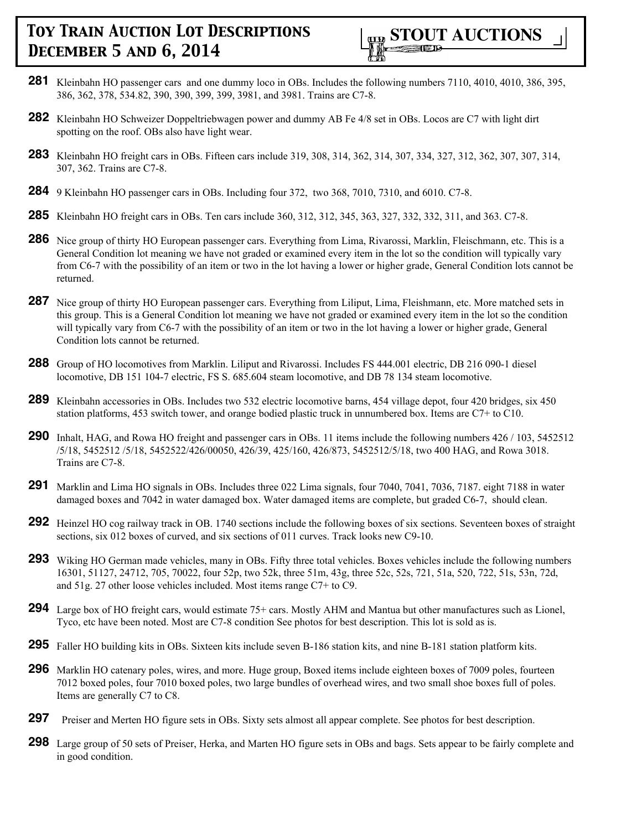

- **281** Kleinbahn HO passenger cars and one dummy loco in OBs. Includes the following numbers 7110, 4010, 4010, 386, 395, 386, 362, 378, 534.82, 390, 390, 399, 399, 3981, and 3981. Trains are C7-8.
- **282** Kleinbahn HO Schweizer Doppeltriebwagen power and dummy AB Fe 4/8 set in OBs. Locos are C7 with light dirt spotting on the roof. OBs also have light wear.
- **283** Kleinbahn HO freight cars in OBs. Fifteen cars include 319, 308, 314, 362, 314, 307, 334, 327, 312, 362, 307, 307, 314, 307, 362. Trains are C7-8.
- **284** 9 Kleinbahn HO passenger cars in OBs. Including four 372, two 368, 7010, 7310, and 6010. C7-8.
- **285** Kleinbahn HO freight cars in OBs. Ten cars include 360, 312, 312, 345, 363, 327, 332, 332, 311, and 363. C7-8.
- **286** Nice group of thirty HO European passenger cars. Everything from Lima, Rivarossi, Marklin, Fleischmann, etc. This is a General Condition lot meaning we have not graded or examined every item in the lot so the condition will typically vary from C6-7 with the possibility of an item or two in the lot having a lower or higher grade, General Condition lots cannot be returned.
- 287 Nice group of thirty HO European passenger cars. Everything from Liliput, Lima, Fleishmann, etc. More matched sets in this group. This is a General Condition lot meaning we have not graded or examined every item in the lot so the condition will typically vary from C6-7 with the possibility of an item or two in the lot having a lower or higher grade, General Condition lots cannot be returned.
- **288** Group of HO locomotives from Marklin. Liliput and Rivarossi. Includes FS 444.001 electric, DB 216 090-1 diesel locomotive, DB 151 104-7 electric, FS S. 685.604 steam locomotive, and DB 78 134 steam locomotive.
- **289** Kleinbahn accessories in OBs. Includes two 532 electric locomotive barns, 454 village depot, four 420 bridges, six 450 station platforms, 453 switch tower, and orange bodied plastic truck in unnumbered box. Items are C7+ to C10.
- **290** Inhalt, HAG, and Rowa HO freight and passenger cars in OBs. 11 items include the following numbers 426 / 103, 5452512 /5/18, 5452512 /5/18, 5452522/426/00050, 426/39, 425/160, 426/873, 5452512/5/18, two 400 HAG, and Rowa 3018. Trains are C7-8.
- **291** Marklin and Lima HO signals in OBs. Includes three 022 Lima signals, four 7040, 7041, 7036, 7187. eight 7188 in water damaged boxes and 7042 in water damaged box. Water damaged items are complete, but graded C6-7, should clean.
- **292** Heinzel HO cog railway track in OB. 1740 sections include the following boxes of six sections. Seventeen boxes of straight sections, six 012 boxes of curved, and six sections of 011 curves. Track looks new C9-10.
- **293** Wiking HO German made vehicles, many in OBs. Fifty three total vehicles. Boxes vehicles include the following numbers 16301, 51127, 24712, 705, 70022, four 52p, two 52k, three 51m, 43g, three 52c, 52s, 721, 51a, 520, 722, 51s, 53n, 72d, and 51g. 27 other loose vehicles included. Most items range C7+ to C9.
- **294** Large box of HO freight cars, would estimate 75+ cars. Mostly AHM and Mantua but other manufactures such as Lionel, Tyco, etc have been noted. Most are C7-8 condition See photos for best description. This lot is sold as is.
- **295** Faller HO building kits in OBs. Sixteen kits include seven B-186 station kits, and nine B-181 station platform kits.
- **296** Marklin HO catenary poles, wires, and more. Huge group, Boxed items include eighteen boxes of 7009 poles, fourteen 7012 boxed poles, four 7010 boxed poles, two large bundles of overhead wires, and two small shoe boxes full of poles. Items are generally C7 to C8.
- **297** Preiser and Merten HO figure sets in OBs. Sixty sets almost all appear complete. See photos for best description.
- **298** Large group of 50 sets of Preiser, Herka, and Marten HO figure sets in OBs and bags. Sets appear to be fairly complete and in good condition.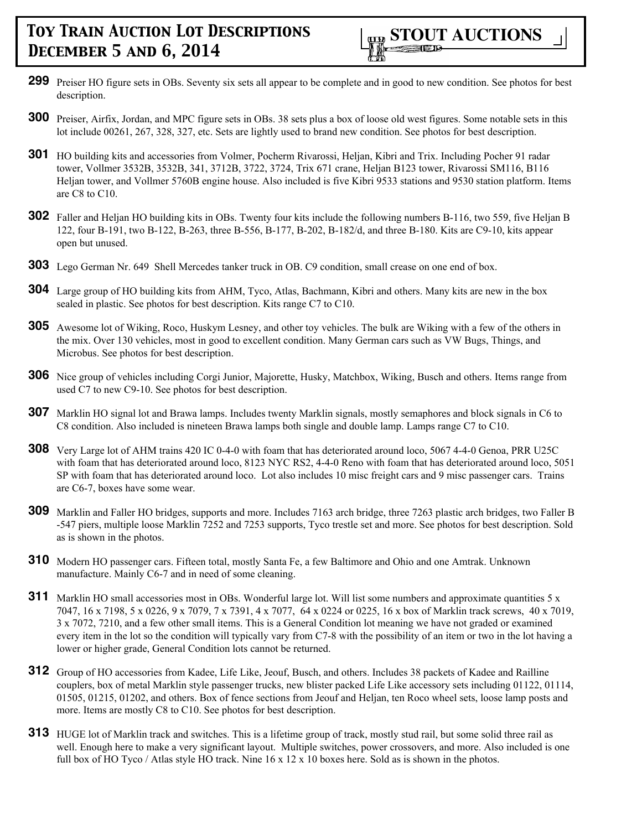- **299** Preiser HO figure sets in OBs. Seventy six sets all appear to be complete and in good to new condition. See photos for best description.
- **300** Preiser, Airfix, Jordan, and MPC figure sets in OBs. 38 sets plus a box of loose old west figures. Some notable sets in this lot include 00261, 267, 328, 327, etc. Sets are lightly used to brand new condition. See photos for best description.
- **301** HO building kits and accessories from Volmer, Pocherm Rivarossi, Heljan, Kibri and Trix. Including Pocher 91 radar tower, Vollmer 3532B, 3532B, 341, 3712B, 3722, 3724, Trix 671 crane, Heljan B123 tower, Rivarossi SM116, B116 Heljan tower, and Vollmer 5760B engine house. Also included is five Kibri 9533 stations and 9530 station platform. Items are C8 to C10.
- **302** Faller and Heljan HO building kits in OBs. Twenty four kits include the following numbers B-116, two 559, five Heljan B 122, four B-191, two B-122, B-263, three B-556, B-177, B-202, B-182/d, and three B-180. Kits are C9-10, kits appear open but unused.
- **303** Lego German Nr. 649 Shell Mercedes tanker truck in OB. C9 condition, small crease on one end of box.
- **304** Large group of HO building kits from AHM, Tyco, Atlas, Bachmann, Kibri and others. Many kits are new in the box sealed in plastic. See photos for best description. Kits range C7 to C10.
- **305** Awesome lot of Wiking, Roco, Huskym Lesney, and other toy vehicles. The bulk are Wiking with a few of the others in the mix. Over 130 vehicles, most in good to excellent condition. Many German cars such as VW Bugs, Things, and Microbus. See photos for best description.
- **306** Nice group of vehicles including Corgi Junior, Majorette, Husky, Matchbox, Wiking, Busch and others. Items range from used C7 to new C9-10. See photos for best description.
- **307** Marklin HO signal lot and Brawa lamps. Includes twenty Marklin signals, mostly semaphores and block signals in C6 to C8 condition. Also included is nineteen Brawa lamps both single and double lamp. Lamps range C7 to C10.
- **308** Very Large lot of AHM trains 420 IC 0-4-0 with foam that has deteriorated around loco, 5067 4-4-0 Genoa, PRR U25C with foam that has deteriorated around loco, 8123 NYC RS2, 4-4-0 Reno with foam that has deteriorated around loco, 5051 SP with foam that has deteriorated around loco. Lot also includes 10 misc freight cars and 9 misc passenger cars. Trains are C6-7, boxes have some wear.
- **309** Marklin and Faller HO bridges, supports and more. Includes 7163 arch bridge, three 7263 plastic arch bridges, two Faller B -547 piers, multiple loose Marklin 7252 and 7253 supports, Tyco trestle set and more. See photos for best description. Sold as is shown in the photos.
- **310** Modern HO passenger cars. Fifteen total, mostly Santa Fe, a few Baltimore and Ohio and one Amtrak. Unknown manufacture. Mainly C6-7 and in need of some cleaning.
- **311** Marklin HO small accessories most in OBs. Wonderful large lot. Will list some numbers and approximate quantities 5 x 7047, 16 x 7198, 5 x 0226, 9 x 7079, 7 x 7391, 4 x 7077, 64 x 0224 or 0225, 16 x box of Marklin track screws, 40 x 7019, 3 x 7072, 7210, and a few other small items. This is a General Condition lot meaning we have not graded or examined every item in the lot so the condition will typically vary from C7-8 with the possibility of an item or two in the lot having a lower or higher grade, General Condition lots cannot be returned.
- **312** Group of HO accessories from Kadee, Life Like, Jeouf, Busch, and others. Includes 38 packets of Kadee and Railline couplers, box of metal Marklin style passenger trucks, new blister packed Life Like accessory sets including 01122, 01114, 01505, 01215, 01202, and others. Box of fence sections from Jeouf and Heljan, ten Roco wheel sets, loose lamp posts and more. Items are mostly C8 to C10. See photos for best description.
- **313** HUGE lot of Marklin track and switches. This is a lifetime group of track, mostly stud rail, but some solid three rail as well. Enough here to make a very significant layout. Multiple switches, power crossovers, and more. Also included is one full box of HO Tyco / Atlas style HO track. Nine  $16 \times 12 \times 10$  boxes here. Sold as is shown in the photos.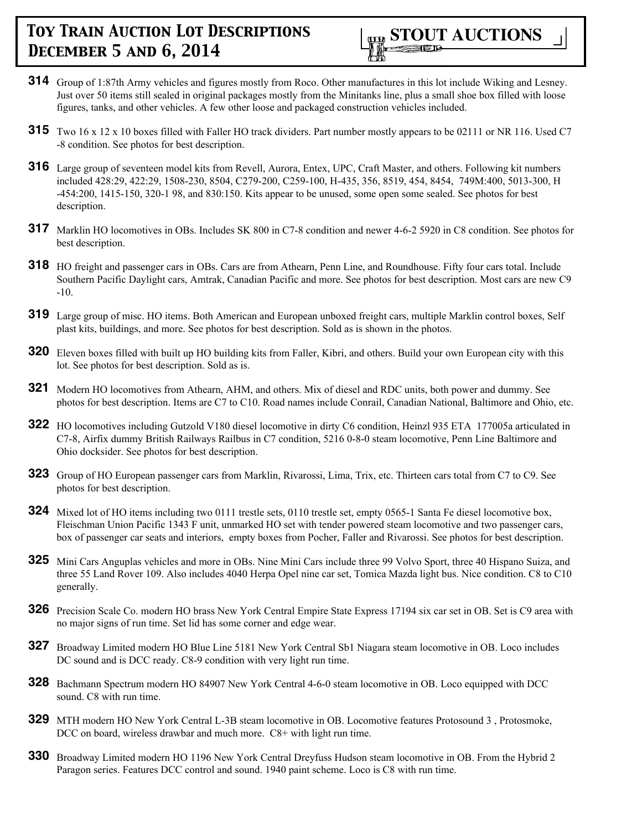- **314** Group of 1:87th Army vehicles and figures mostly from Roco. Other manufactures in this lot include Wiking and Lesney. Just over 50 items still sealed in original packages mostly from the Minitanks line, plus a small shoe box filled with loose figures, tanks, and other vehicles. A few other loose and packaged construction vehicles included.
- **315** Two 16 x 12 x 10 boxes filled with Faller HO track dividers. Part number mostly appears to be 02111 or NR 116. Used C7 -8 condition. See photos for best description.
- **316** Large group of seventeen model kits from Revell, Aurora, Entex, UPC, Craft Master, and others. Following kit numbers included 428:29, 422:29, 1508-230, 8504, C279-200, C259-100, H-435, 356, 8519, 454, 8454, 749M:400, 5013-300, H -454:200, 1415-150, 320-1 98, and 830:150. Kits appear to be unused, some open some sealed. See photos for best description.
- **317** Marklin HO locomotives in OBs. Includes SK 800 in C7-8 condition and newer 4-6-2 5920 in C8 condition. See photos for best description.
- **318** HO freight and passenger cars in OBs. Cars are from Athearn, Penn Line, and Roundhouse. Fifty four cars total. Include Southern Pacific Daylight cars, Amtrak, Canadian Pacific and more. See photos for best description. Most cars are new C9 -10.
- **319** Large group of misc. HO items. Both American and European unboxed freight cars, multiple Marklin control boxes, Self plast kits, buildings, and more. See photos for best description. Sold as is shown in the photos.
- **320** Eleven boxes filled with built up HO building kits from Faller, Kibri, and others. Build your own European city with this lot. See photos for best description. Sold as is.
- **321** Modern HO locomotives from Athearn, AHM, and others. Mix of diesel and RDC units, both power and dummy. See photos for best description. Items are C7 to C10. Road names include Conrail, Canadian National, Baltimore and Ohio, etc.
- **322** HO locomotives including Gutzold V180 diesel locomotive in dirty C6 condition, Heinzl 935 ETA 177005a articulated in C7-8, Airfix dummy British Railways Railbus in C7 condition, 5216 0-8-0 steam locomotive, Penn Line Baltimore and Ohio docksider. See photos for best description.
- **323** Group of HO European passenger cars from Marklin, Rivarossi, Lima, Trix, etc. Thirteen cars total from C7 to C9. See photos for best description.
- **324** Mixed lot of HO items including two 0111 trestle sets, 0110 trestle set, empty 0565-1 Santa Fe diesel locomotive box, Fleischman Union Pacific 1343 F unit, unmarked HO set with tender powered steam locomotive and two passenger cars, box of passenger car seats and interiors, empty boxes from Pocher, Faller and Rivarossi. See photos for best description.
- **325** Mini Cars Anguplas vehicles and more in OBs. Nine Mini Cars include three 99 Volvo Sport, three 40 Hispano Suiza, and three 55 Land Rover 109. Also includes 4040 Herpa Opel nine car set, Tomica Mazda light bus. Nice condition. C8 to C10 generally.
- **326** Precision Scale Co. modern HO brass New York Central Empire State Express 17194 six car set in OB. Set is C9 area with no major signs of run time. Set lid has some corner and edge wear.
- **327** Broadway Limited modern HO Blue Line 5181 New York Central Sb1 Niagara steam locomotive in OB. Loco includes DC sound and is DCC ready. C8-9 condition with very light run time.
- **328** Bachmann Spectrum modern HO 84907 New York Central 4-6-0 steam locomotive in OB. Loco equipped with DCC sound. C8 with run time.
- **329** MTH modern HO New York Central L-3B steam locomotive in OB. Locomotive features Protosound 3 , Protosmoke, DCC on board, wireless drawbar and much more. C8+ with light run time.
- **330** Broadway Limited modern HO 1196 New York Central Dreyfuss Hudson steam locomotive in OB. From the Hybrid 2 Paragon series. Features DCC control and sound. 1940 paint scheme. Loco is C8 with run time.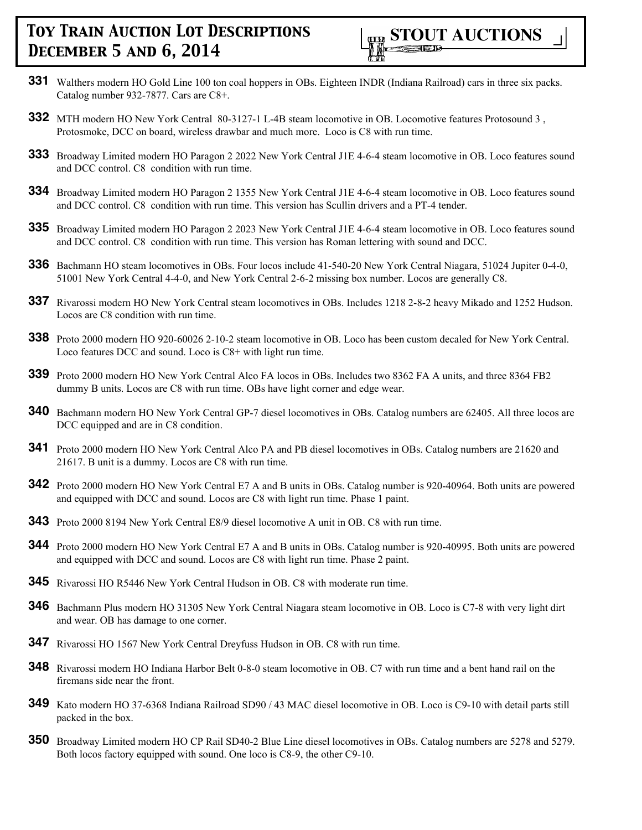

- **331** Walthers modern HO Gold Line 100 ton coal hoppers in OBs. Eighteen INDR (Indiana Railroad) cars in three six packs. Catalog number 932-7877. Cars are C8+.
- **332** MTH modern HO New York Central 80-3127-1 L-4B steam locomotive in OB. Locomotive features Protosound 3 , Protosmoke, DCC on board, wireless drawbar and much more. Loco is C8 with run time.
- **333** Broadway Limited modern HO Paragon 2 2022 New York Central J1E 4-6-4 steam locomotive in OB. Loco features sound and DCC control. C8 condition with run time.
- **334** Broadway Limited modern HO Paragon 2 1355 New York Central J1E 4-6-4 steam locomotive in OB. Loco features sound and DCC control. C8 condition with run time. This version has Scullin drivers and a PT-4 tender.
- **335** Broadway Limited modern HO Paragon 2 2023 New York Central J1E 4-6-4 steam locomotive in OB. Loco features sound and DCC control. C8 condition with run time. This version has Roman lettering with sound and DCC.
- **336** Bachmann HO steam locomotives in OBs. Four locos include 41-540-20 New York Central Niagara, 51024 Jupiter 0-4-0, 51001 New York Central 4-4-0, and New York Central 2-6-2 missing box number. Locos are generally C8.
- **337** Rivarossi modern HO New York Central steam locomotives in OBs. Includes 1218 2-8-2 heavy Mikado and 1252 Hudson. Locos are C8 condition with run time.
- **338** Proto 2000 modern HO 920-60026 2-10-2 steam locomotive in OB. Loco has been custom decaled for New York Central. Loco features DCC and sound. Loco is C8+ with light run time.
- **339** Proto 2000 modern HO New York Central Alco FA locos in OBs. Includes two 8362 FA A units, and three 8364 FB2 dummy B units. Locos are C8 with run time. OBs have light corner and edge wear.
- **340** Bachmann modern HO New York Central GP-7 diesel locomotives in OBs. Catalog numbers are 62405. All three locos are DCC equipped and are in C8 condition.
- **341** Proto 2000 modern HO New York Central Alco PA and PB diesel locomotives in OBs. Catalog numbers are 21620 and 21617. B unit is a dummy. Locos are C8 with run time.
- **342** Proto 2000 modern HO New York Central E7 A and B units in OBs. Catalog number is 920-40964. Both units are powered and equipped with DCC and sound. Locos are C8 with light run time. Phase 1 paint.
- **343** Proto 2000 8194 New York Central E8/9 diesel locomotive A unit in OB. C8 with run time.
- **344** Proto 2000 modern HO New York Central E7 A and B units in OBs. Catalog number is 920-40995. Both units are powered and equipped with DCC and sound. Locos are C8 with light run time. Phase 2 paint.
- **345** Rivarossi HO R5446 New York Central Hudson in OB. C8 with moderate run time.
- **346** Bachmann Plus modern HO 31305 New York Central Niagara steam locomotive in OB. Loco is C7-8 with very light dirt and wear. OB has damage to one corner.
- **347** Rivarossi HO 1567 New York Central Dreyfuss Hudson in OB. C8 with run time.
- **348** Rivarossi modern HO Indiana Harbor Belt 0-8-0 steam locomotive in OB. C7 with run time and a bent hand rail on the firemans side near the front.
- **349** Kato modern HO 37-6368 Indiana Railroad SD90 / 43 MAC diesel locomotive in OB. Loco is C9-10 with detail parts still packed in the box.
- **350** Broadway Limited modern HO CP Rail SD40-2 Blue Line diesel locomotives in OBs. Catalog numbers are 5278 and 5279. Both locos factory equipped with sound. One loco is C8-9, the other C9-10.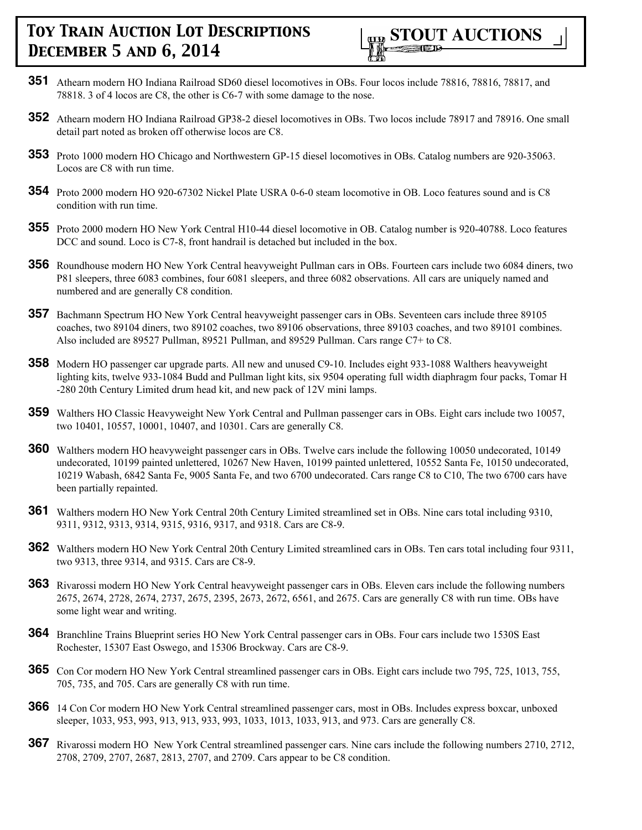

- **351** Athearn modern HO Indiana Railroad SD60 diesel locomotives in OBs. Four locos include 78816, 78816, 78817, and 78818. 3 of 4 locos are C8, the other is C6-7 with some damage to the nose.
- **352** Athearn modern HO Indiana Railroad GP38-2 diesel locomotives in OBs. Two locos include 78917 and 78916. One small detail part noted as broken off otherwise locos are C8.
- **353** Proto 1000 modern HO Chicago and Northwestern GP-15 diesel locomotives in OBs. Catalog numbers are 920-35063. Locos are C8 with run time.
- **354** Proto 2000 modern HO 920-67302 Nickel Plate USRA 0-6-0 steam locomotive in OB. Loco features sound and is C8 condition with run time.
- **355** Proto 2000 modern HO New York Central H10-44 diesel locomotive in OB. Catalog number is 920-40788. Loco features DCC and sound. Loco is C7-8, front handrail is detached but included in the box.
- **356** Roundhouse modern HO New York Central heavyweight Pullman cars in OBs. Fourteen cars include two 6084 diners, two P81 sleepers, three 6083 combines, four 6081 sleepers, and three 6082 observations. All cars are uniquely named and numbered and are generally C8 condition.
- **357** Bachmann Spectrum HO New York Central heavyweight passenger cars in OBs. Seventeen cars include three 89105 coaches, two 89104 diners, two 89102 coaches, two 89106 observations, three 89103 coaches, and two 89101 combines. Also included are 89527 Pullman, 89521 Pullman, and 89529 Pullman. Cars range C7+ to C8.
- **358** Modern HO passenger car upgrade parts. All new and unused C9-10. Includes eight 933-1088 Walthers heavyweight lighting kits, twelve 933-1084 Budd and Pullman light kits, six 9504 operating full width diaphragm four packs, Tomar H -280 20th Century Limited drum head kit, and new pack of 12V mini lamps.
- **359** Walthers HO Classic Heavyweight New York Central and Pullman passenger cars in OBs. Eight cars include two 10057, two 10401, 10557, 10001, 10407, and 10301. Cars are generally C8.
- **360** Walthers modern HO heavyweight passenger cars in OBs. Twelve cars include the following 10050 undecorated, 10149 undecorated, 10199 painted unlettered, 10267 New Haven, 10199 painted unlettered, 10552 Santa Fe, 10150 undecorated, 10219 Wabash, 6842 Santa Fe, 9005 Santa Fe, and two 6700 undecorated. Cars range C8 to C10, The two 6700 cars have been partially repainted.
- **361** Walthers modern HO New York Central 20th Century Limited streamlined set in OBs. Nine cars total including 9310, 9311, 9312, 9313, 9314, 9315, 9316, 9317, and 9318. Cars are C8-9.
- **362** Walthers modern HO New York Central 20th Century Limited streamlined cars in OBs. Ten cars total including four 9311, two 9313, three 9314, and 9315. Cars are C8-9.
- **363** Rivarossi modern HO New York Central heavyweight passenger cars in OBs. Eleven cars include the following numbers 2675, 2674, 2728, 2674, 2737, 2675, 2395, 2673, 2672, 6561, and 2675. Cars are generally C8 with run time. OBs have some light wear and writing.
- **364** Branchline Trains Blueprint series HO New York Central passenger cars in OBs. Four cars include two 1530S East Rochester, 15307 East Oswego, and 15306 Brockway. Cars are C8-9.
- **365** Con Cor modern HO New York Central streamlined passenger cars in OBs. Eight cars include two 795, 725, 1013, 755, 705, 735, and 705. Cars are generally C8 with run time.
- **366** 14 Con Cor modern HO New York Central streamlined passenger cars, most in OBs. Includes express boxcar, unboxed sleeper, 1033, 953, 993, 913, 913, 933, 993, 1033, 1013, 1033, 913, and 973. Cars are generally C8.
- **367** Rivarossi modern HO New York Central streamlined passenger cars. Nine cars include the following numbers 2710, 2712, 2708, 2709, 2707, 2687, 2813, 2707, and 2709. Cars appear to be C8 condition.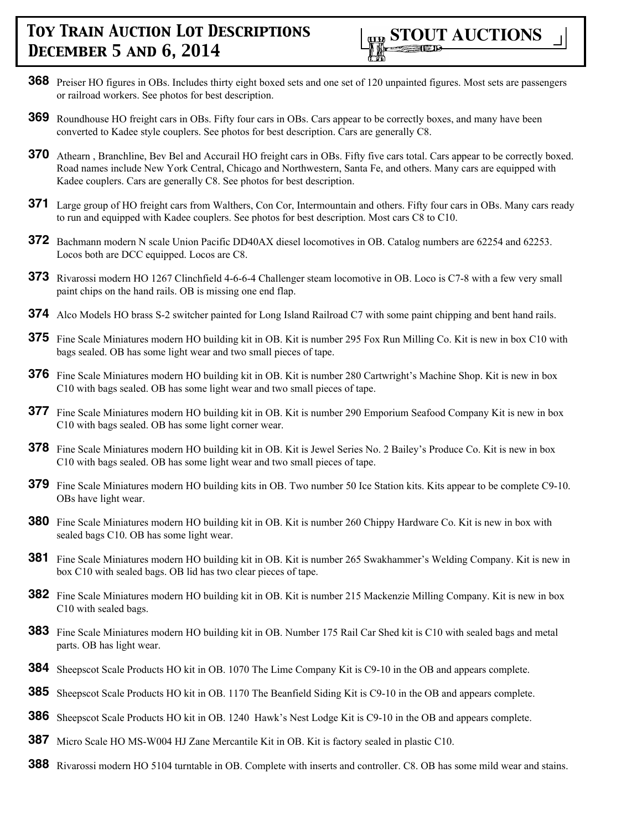

- **368** Preiser HO figures in OBs. Includes thirty eight boxed sets and one set of 120 unpainted figures. Most sets are passengers or railroad workers. See photos for best description.
- **369** Roundhouse HO freight cars in OBs. Fifty four cars in OBs. Cars appear to be correctly boxes, and many have been converted to Kadee style couplers. See photos for best description. Cars are generally C8.
- **370** Athearn , Branchline, Bev Bel and Accurail HO freight cars in OBs. Fifty five cars total. Cars appear to be correctly boxed. Road names include New York Central, Chicago and Northwestern, Santa Fe, and others. Many cars are equipped with Kadee couplers. Cars are generally C8. See photos for best description.
- **371** Large group of HO freight cars from Walthers, Con Cor, Intermountain and others. Fifty four cars in OBs. Many cars ready to run and equipped with Kadee couplers. See photos for best description. Most cars C8 to C10.
- **372** Bachmann modern N scale Union Pacific DD40AX diesel locomotives in OB. Catalog numbers are 62254 and 62253. Locos both are DCC equipped. Locos are C8.
- **373** Rivarossi modern HO 1267 Clinchfield 4-6-6-4 Challenger steam locomotive in OB. Loco is C7-8 with a few very small paint chips on the hand rails. OB is missing one end flap.
- **374** Alco Models HO brass S-2 switcher painted for Long Island Railroad C7 with some paint chipping and bent hand rails.
- **375** Fine Scale Miniatures modern HO building kit in OB. Kit is number 295 Fox Run Milling Co. Kit is new in box C10 with bags sealed. OB has some light wear and two small pieces of tape.
- **376** Fine Scale Miniatures modern HO building kit in OB. Kit is number 280 Cartwright's Machine Shop. Kit is new in box C10 with bags sealed. OB has some light wear and two small pieces of tape.
- **377** Fine Scale Miniatures modern HO building kit in OB. Kit is number 290 Emporium Seafood Company Kit is new in box C10 with bags sealed. OB has some light corner wear.
- **378** Fine Scale Miniatures modern HO building kit in OB. Kit is Jewel Series No. 2 Bailey's Produce Co. Kit is new in box C10 with bags sealed. OB has some light wear and two small pieces of tape.
- **379** Fine Scale Miniatures modern HO building kits in OB. Two number 50 Ice Station kits. Kits appear to be complete C9-10. OBs have light wear.
- **380** Fine Scale Miniatures modern HO building kit in OB. Kit is number 260 Chippy Hardware Co. Kit is new in box with sealed bags C10. OB has some light wear.
- **381** Fine Scale Miniatures modern HO building kit in OB. Kit is number 265 Swakhammer's Welding Company. Kit is new in box C10 with sealed bags. OB lid has two clear pieces of tape.
- **382** Fine Scale Miniatures modern HO building kit in OB. Kit is number 215 Mackenzie Milling Company. Kit is new in box C10 with sealed bags.
- **383** Fine Scale Miniatures modern HO building kit in OB. Number 175 Rail Car Shed kit is C10 with sealed bags and metal parts. OB has light wear.
- **384** Sheepscot Scale Products HO kit in OB. 1070 The Lime Company Kit is C9-10 in the OB and appears complete.
- **385** Sheepscot Scale Products HO kit in OB. 1170 The Beanfield Siding Kit is C9-10 in the OB and appears complete.
- **386** Sheepscot Scale Products HO kit in OB. 1240 Hawk's Nest Lodge Kit is C9-10 in the OB and appears complete.
- **387** Micro Scale HO MS-W004 HJ Zane Mercantile Kit in OB. Kit is factory sealed in plastic C10.
- **388** Rivarossi modern HO 5104 turntable in OB. Complete with inserts and controller. C8. OB has some mild wear and stains.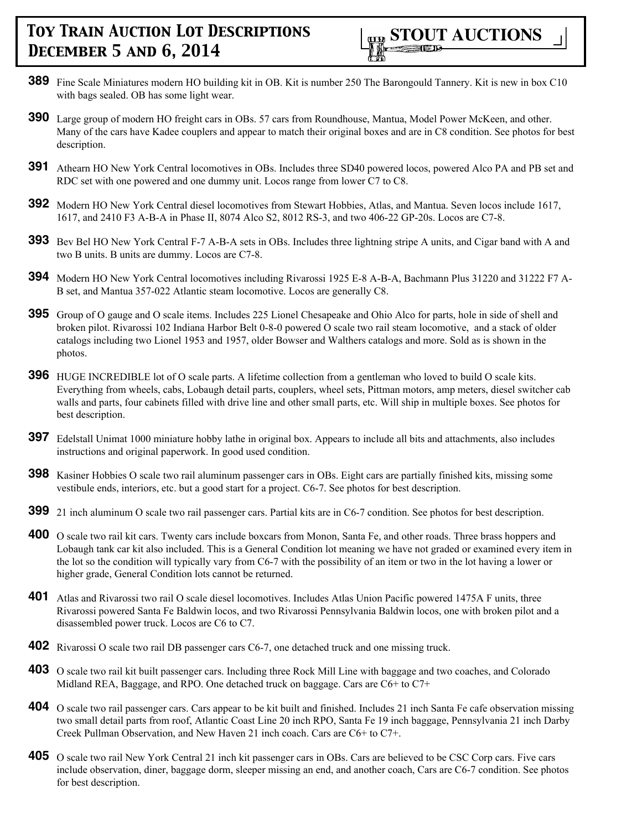- **389** Fine Scale Miniatures modern HO building kit in OB. Kit is number 250 The Barongould Tannery. Kit is new in box C10 with bags sealed. OB has some light wear.
- **390** Large group of modern HO freight cars in OBs. 57 cars from Roundhouse, Mantua, Model Power McKeen, and other. Many of the cars have Kadee couplers and appear to match their original boxes and are in C8 condition. See photos for best description.
- **391** Athearn HO New York Central locomotives in OBs. Includes three SD40 powered locos, powered Alco PA and PB set and RDC set with one powered and one dummy unit. Locos range from lower C7 to C8.
- **392** Modern HO New York Central diesel locomotives from Stewart Hobbies, Atlas, and Mantua. Seven locos include 1617, 1617, and 2410 F3 A-B-A in Phase II, 8074 Alco S2, 8012 RS-3, and two 406-22 GP-20s. Locos are C7-8.
- **393** Bev Bel HO New York Central F-7 A-B-A sets in OBs. Includes three lightning stripe A units, and Cigar band with A and two B units. B units are dummy. Locos are C7-8.
- **394** Modern HO New York Central locomotives including Rivarossi 1925 E-8 A-B-A, Bachmann Plus 31220 and 31222 F7 A-B set, and Mantua 357-022 Atlantic steam locomotive. Locos are generally C8.
- **395** Group of O gauge and O scale items. Includes 225 Lionel Chesapeake and Ohio Alco for parts, hole in side of shell and broken pilot. Rivarossi 102 Indiana Harbor Belt 0-8-0 powered O scale two rail steam locomotive, and a stack of older catalogs including two Lionel 1953 and 1957, older Bowser and Walthers catalogs and more. Sold as is shown in the photos.
- **396** HUGE INCREDIBLE lot of O scale parts. A lifetime collection from a gentleman who loved to build O scale kits. Everything from wheels, cabs, Lobaugh detail parts, couplers, wheel sets, Pittman motors, amp meters, diesel switcher cab walls and parts, four cabinets filled with drive line and other small parts, etc. Will ship in multiple boxes. See photos for best description.
- **397** Edelstall Unimat 1000 miniature hobby lathe in original box. Appears to include all bits and attachments, also includes instructions and original paperwork. In good used condition.
- **398** Kasiner Hobbies O scale two rail aluminum passenger cars in OBs. Eight cars are partially finished kits, missing some vestibule ends, interiors, etc. but a good start for a project. C6-7. See photos for best description.
- **399** 21 inch aluminum O scale two rail passenger cars. Partial kits are in C6-7 condition. See photos for best description.
- **400** O scale two rail kit cars. Twenty cars include boxcars from Monon, Santa Fe, and other roads. Three brass hoppers and Lobaugh tank car kit also included. This is a General Condition lot meaning we have not graded or examined every item in the lot so the condition will typically vary from C6-7 with the possibility of an item or two in the lot having a lower or higher grade, General Condition lots cannot be returned.
- **401** Atlas and Rivarossi two rail O scale diesel locomotives. Includes Atlas Union Pacific powered 1475A F units, three Rivarossi powered Santa Fe Baldwin locos, and two Rivarossi Pennsylvania Baldwin locos, one with broken pilot and a disassembled power truck. Locos are C6 to C7.
- **402** Rivarossi O scale two rail DB passenger cars C6-7, one detached truck and one missing truck.
- **403** O scale two rail kit built passenger cars. Including three Rock Mill Line with baggage and two coaches, and Colorado Midland REA, Baggage, and RPO. One detached truck on baggage. Cars are C6+ to C7+
- **404** O scale two rail passenger cars. Cars appear to be kit built and finished. Includes 21 inch Santa Fe cafe observation missing two small detail parts from roof, Atlantic Coast Line 20 inch RPO, Santa Fe 19 inch baggage, Pennsylvania 21 inch Darby Creek Pullman Observation, and New Haven 21 inch coach. Cars are C6+ to C7+.
- **405** O scale two rail New York Central 21 inch kit passenger cars in OBs. Cars are believed to be CSC Corp cars. Five cars include observation, diner, baggage dorm, sleeper missing an end, and another coach, Cars are C6-7 condition. See photos for best description.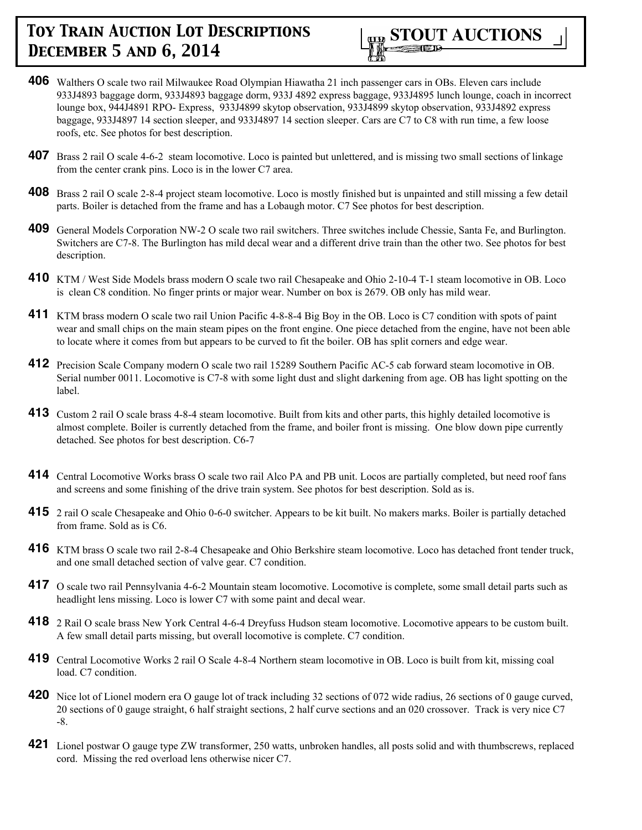

- **406** Walthers O scale two rail Milwaukee Road Olympian Hiawatha 21 inch passenger cars in OBs. Eleven cars include 933J4893 baggage dorm, 933J4893 baggage dorm, 933J 4892 express baggage, 933J4895 lunch lounge, coach in incorrect lounge box, 944J4891 RPO- Express, 933J4899 skytop observation, 933J4899 skytop observation, 933J4892 express baggage, 933J4897 14 section sleeper, and 933J4897 14 section sleeper. Cars are C7 to C8 with run time, a few loose roofs, etc. See photos for best description.
- **407** Brass 2 rail O scale 4-6-2 steam locomotive. Loco is painted but unlettered, and is missing two small sections of linkage from the center crank pins. Loco is in the lower C7 area.
- **408** Brass 2 rail O scale 2-8-4 project steam locomotive. Loco is mostly finished but is unpainted and still missing a few detail parts. Boiler is detached from the frame and has a Lobaugh motor. C7 See photos for best description.
- **409** General Models Corporation NW-2 O scale two rail switchers. Three switches include Chessie, Santa Fe, and Burlington. Switchers are C7-8. The Burlington has mild decal wear and a different drive train than the other two. See photos for best description.
- **410** KTM / West Side Models brass modern O scale two rail Chesapeake and Ohio 2-10-4 T-1 steam locomotive in OB. Loco is clean C8 condition. No finger prints or major wear. Number on box is 2679. OB only has mild wear.
- **411** KTM brass modern O scale two rail Union Pacific 4-8-8-4 Big Boy in the OB. Loco is C7 condition with spots of paint wear and small chips on the main steam pipes on the front engine. One piece detached from the engine, have not been able to locate where it comes from but appears to be curved to fit the boiler. OB has split corners and edge wear.
- **412** Precision Scale Company modern O scale two rail 15289 Southern Pacific AC-5 cab forward steam locomotive in OB. Serial number 0011. Locomotive is C7-8 with some light dust and slight darkening from age. OB has light spotting on the label.
- **413** Custom 2 rail O scale brass 4-8-4 steam locomotive. Built from kits and other parts, this highly detailed locomotive is almost complete. Boiler is currently detached from the frame, and boiler front is missing. One blow down pipe currently detached. See photos for best description. C6-7
- **414** Central Locomotive Works brass O scale two rail Alco PA and PB unit. Locos are partially completed, but need roof fans and screens and some finishing of the drive train system. See photos for best description. Sold as is.
- **415** 2 rail O scale Chesapeake and Ohio 0-6-0 switcher. Appears to be kit built. No makers marks. Boiler is partially detached from frame. Sold as is C6.
- **416** KTM brass O scale two rail 2-8-4 Chesapeake and Ohio Berkshire steam locomotive. Loco has detached front tender truck, and one small detached section of valve gear. C7 condition.
- **417** O scale two rail Pennsylvania 4-6-2 Mountain steam locomotive. Locomotive is complete, some small detail parts such as headlight lens missing. Loco is lower C7 with some paint and decal wear.
- **418** 2 Rail O scale brass New York Central 4-6-4 Dreyfuss Hudson steam locomotive. Locomotive appears to be custom built. A few small detail parts missing, but overall locomotive is complete. C7 condition.
- **419** Central Locomotive Works 2 rail O Scale 4-8-4 Northern steam locomotive in OB. Loco is built from kit, missing coal load. C7 condition.
- **420** Nice lot of Lionel modern era O gauge lot of track including 32 sections of 072 wide radius, 26 sections of 0 gauge curved, 20 sections of 0 gauge straight, 6 half straight sections, 2 half curve sections and an 020 crossover. Track is very nice C7 -8.
- **421** Lionel postwar O gauge type ZW transformer, 250 watts, unbroken handles, all posts solid and with thumbscrews, replaced cord. Missing the red overload lens otherwise nicer C7.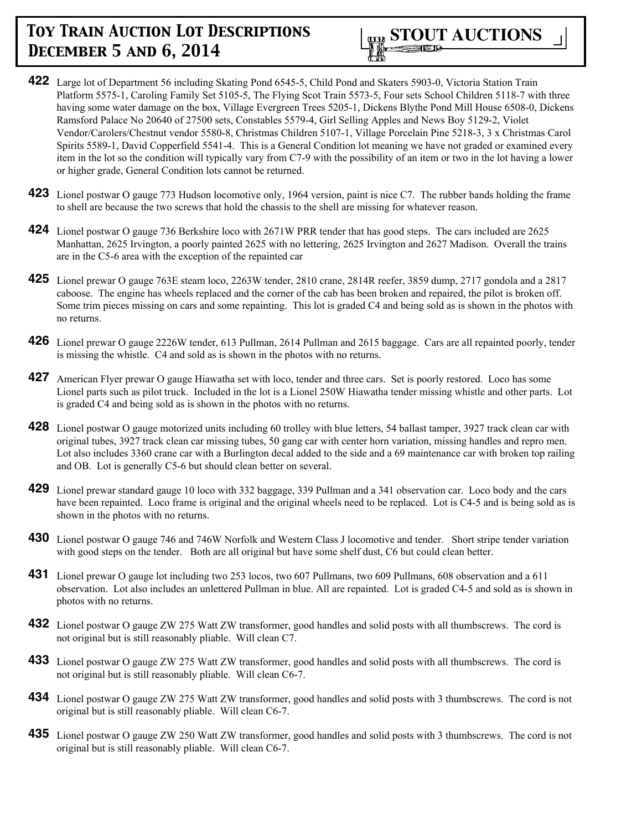

- **422** Large lot of Department 56 including Skating Pond 6545-5, Child Pond and Skaters 5903-0, Victoria Station Train Platform 5575-1, Caroling Family Set 5105-5, The Flying Scot Train 5573-5, Four sets School Children 5118-7 with three having some water damage on the box, Village Evergreen Trees 5205-1, Dickens Blythe Pond Mill House 6508-0, Dickens Ramsford Palace No 20640 of 27500 sets, Constables 5579-4, Girl Selling Apples and News Boy 5129-2, Violet Vendor/Carolers/Chestnut vendor 5580-8, Christmas Children 5107-1, Village Porcelain Pine 5218-3, 3 x Christmas Carol Spirits 5589-1, David Copperfield 5541-4. This is a General Condition lot meaning we have not graded or examined every item in the lot so the condition will typically vary from C7-9 with the possibility of an item or two in the lot having a lower or higher grade, General Condition lots cannot be returned.
- **423** Lionel postwar O gauge 773 Hudson locomotive only, 1964 version, paint is nice C7. The rubber bands holding the frame to shell are because the two screws that hold the chassis to the shell are missing for whatever reason.
- **424** Lionel postwar O gauge 736 Berkshire loco with 2671W PRR tender that has good steps. The cars included are 2625 Manhattan, 2625 Irvington, a poorly painted 2625 with no lettering, 2625 Irvington and 2627 Madison. Overall the trains are in the C5-6 area with the exception of the repainted car
- **425** Lionel prewar O gauge 763E steam loco, 2263W tender, 2810 crane, 2814R reefer, 3859 dump, 2717 gondola and a 2817 caboose. The engine has wheels replaced and the corner of the cab has been broken and repaired, the pilot is broken off. Some trim pieces missing on cars and some repainting. This lot is graded C4 and being sold as is shown in the photos with no returns.
- **426** Lionel prewar O gauge 2226W tender, 613 Pullman, 2614 Pullman and 2615 baggage. Cars are all repainted poorly, tender is missing the whistle. C4 and sold as is shown in the photos with no returns.
- **427** American Flyer prewar O gauge Hiawatha set with loco, tender and three cars. Set is poorly restored. Loco has some Lionel parts such as pilot truck. Included in the lot is a Lionel 250W Hiawatha tender missing whistle and other parts. Lot is graded C4 and being sold as is shown in the photos with no returns.
- **428** Lionel postwar O gauge motorized units including 60 trolley with blue letters, 54 ballast tamper, 3927 track clean car with original tubes, 3927 track clean car missing tubes, 50 gang car with center horn variation, missing handles and repro men. Lot also includes 3360 crane car with a Burlington decal added to the side and a 69 maintenance car with broken top railing and OB. Lot is generally C5-6 but should clean better on several.
- **429** Lionel prewar standard gauge 10 loco with 332 baggage, 339 Pullman and a 341 observation car. Loco body and the cars have been repainted. Loco frame is original and the original wheels need to be replaced. Lot is C4-5 and is being sold as is shown in the photos with no returns.
- **430** Lionel postwar O gauge 746 and 746W Norfolk and Western Class J locomotive and tender. Short stripe tender variation with good steps on the tender. Both are all original but have some shelf dust, C6 but could clean better.
- **431** Lionel prewar O gauge lot including two 253 locos, two 607 Pullmans, two 609 Pullmans, 608 observation and a 611 observation. Lot also includes an unlettered Pullman in blue. All are repainted. Lot is graded C4-5 and sold as is shown in photos with no returns.
- **432** Lionel postwar O gauge ZW 275 Watt ZW transformer, good handles and solid posts with all thumbscrews. The cord is not original but is still reasonably pliable. Will clean C7.
- **433** Lionel postwar O gauge ZW 275 Watt ZW transformer, good handles and solid posts with all thumbscrews. The cord is not original but is still reasonably pliable. Will clean C6-7.
- **434** Lionel postwar O gauge ZW 275 Watt ZW transformer, good handles and solid posts with 3 thumbscrews. The cord is not original but is still reasonably pliable. Will clean C6-7.
- **435** Lionel postwar O gauge ZW 250 Watt ZW transformer, good handles and solid posts with 3 thumbscrews. The cord is not original but is still reasonably pliable. Will clean C6-7.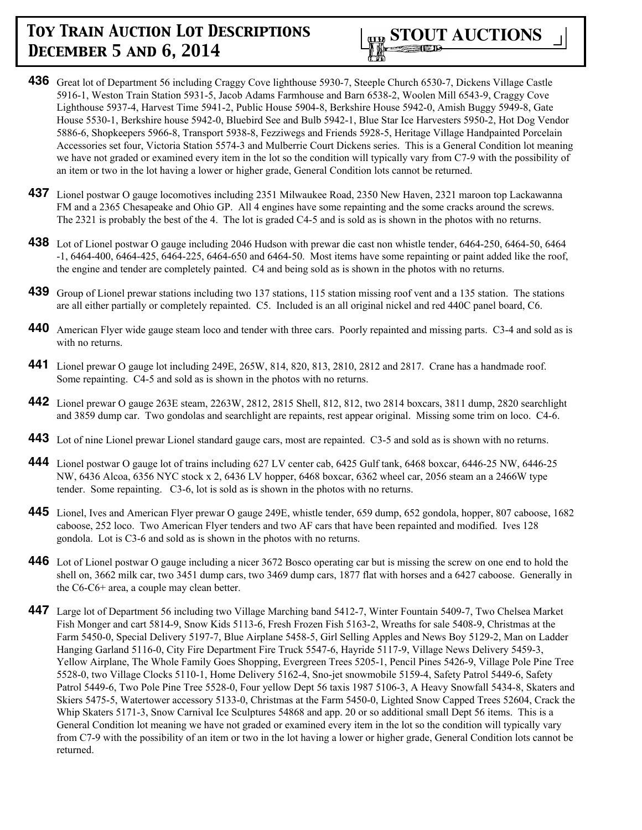

- **436** Great lot of Department 56 including Craggy Cove lighthouse 5930-7, Steeple Church 6530-7, Dickens Village Castle 5916-1, Weston Train Station 5931-5, Jacob Adams Farmhouse and Barn 6538-2, Woolen Mill 6543-9, Craggy Cove Lighthouse 5937-4, Harvest Time 5941-2, Public House 5904-8, Berkshire House 5942-0, Amish Buggy 5949-8, Gate House 5530-1, Berkshire house 5942-0, Bluebird See and Bulb 5942-1, Blue Star Ice Harvesters 5950-2, Hot Dog Vendor 5886-6, Shopkeepers 5966-8, Transport 5938-8, Fezziwegs and Friends 5928-5, Heritage Village Handpainted Porcelain Accessories set four, Victoria Station 5574-3 and Mulberrie Court Dickens series. This is a General Condition lot meaning we have not graded or examined every item in the lot so the condition will typically vary from C7-9 with the possibility of an item or two in the lot having a lower or higher grade, General Condition lots cannot be returned.
- **437** Lionel postwar O gauge locomotives including 2351 Milwaukee Road, 2350 New Haven, 2321 maroon top Lackawanna FM and a 2365 Chesapeake and Ohio GP. All 4 engines have some repainting and the some cracks around the screws. The 2321 is probably the best of the 4. The lot is graded C4-5 and is sold as is shown in the photos with no returns.
- **438** Lot of Lionel postwar O gauge including 2046 Hudson with prewar die cast non whistle tender, 6464-250, 6464-50, 6464 -1, 6464-400, 6464-425, 6464-225, 6464-650 and 6464-50. Most items have some repainting or paint added like the roof, the engine and tender are completely painted. C4 and being sold as is shown in the photos with no returns.
- **439** Group of Lionel prewar stations including two 137 stations, 115 station missing roof vent and a 135 station. The stations are all either partially or completely repainted. C5. Included is an all original nickel and red 440C panel board, C6.
- **440** American Flyer wide gauge steam loco and tender with three cars. Poorly repainted and missing parts. C3-4 and sold as is with no returns.
- **441** Lionel prewar O gauge lot including 249E, 265W, 814, 820, 813, 2810, 2812 and 2817. Crane has a handmade roof. Some repainting. C4-5 and sold as is shown in the photos with no returns.
- **442** Lionel prewar O gauge 263E steam, 2263W, 2812, 2815 Shell, 812, 812, two 2814 boxcars, 3811 dump, 2820 searchlight and 3859 dump car. Two gondolas and searchlight are repaints, rest appear original. Missing some trim on loco. C4-6.
- **443** Lot of nine Lionel prewar Lionel standard gauge cars, most are repainted. C3-5 and sold as is shown with no returns.
- **444** Lionel postwar O gauge lot of trains including 627 LV center cab, 6425 Gulf tank, 6468 boxcar, 6446-25 NW, 6446-25 NW, 6436 Alcoa, 6356 NYC stock x 2, 6436 LV hopper, 6468 boxcar, 6362 wheel car, 2056 steam an a 2466W type tender. Some repainting. C3-6, lot is sold as is shown in the photos with no returns.
- **445** Lionel, Ives and American Flyer prewar O gauge 249E, whistle tender, 659 dump, 652 gondola, hopper, 807 caboose, 1682 caboose, 252 loco. Two American Flyer tenders and two AF cars that have been repainted and modified. Ives 128 gondola. Lot is C3-6 and sold as is shown in the photos with no returns.
- **446** Lot of Lionel postwar O gauge including a nicer 3672 Bosco operating car but is missing the screw on one end to hold the shell on, 3662 milk car, two 3451 dump cars, two 3469 dump cars, 1877 flat with horses and a 6427 caboose. Generally in the C6-C6+ area, a couple may clean better.
- **447** Large lot of Department 56 including two Village Marching band 5412-7, Winter Fountain 5409-7, Two Chelsea Market Fish Monger and cart 5814-9, Snow Kids 5113-6, Fresh Frozen Fish 5163-2, Wreaths for sale 5408-9, Christmas at the Farm 5450-0, Special Delivery 5197-7, Blue Airplane 5458-5, Girl Selling Apples and News Boy 5129-2, Man on Ladder Hanging Garland 5116-0, City Fire Department Fire Truck 5547-6, Hayride 5117-9, Village News Delivery 5459-3, Yellow Airplane, The Whole Family Goes Shopping, Evergreen Trees 5205-1, Pencil Pines 5426-9, Village Pole Pine Tree 5528-0, two Village Clocks 5110-1, Home Delivery 5162-4, Sno-jet snowmobile 5159-4, Safety Patrol 5449-6, Safety Patrol 5449-6, Two Pole Pine Tree 5528-0, Four yellow Dept 56 taxis 1987 5106-3, A Heavy Snowfall 5434-8, Skaters and Skiers 5475-5, Watertower accessory 5133-0, Christmas at the Farm 5450-0, Lighted Snow Capped Trees 52604, Crack the Whip Skaters 5171-3, Snow Carnival Ice Sculptures 54868 and app. 20 or so additional small Dept 56 items. This is a General Condition lot meaning we have not graded or examined every item in the lot so the condition will typically vary from C7-9 with the possibility of an item or two in the lot having a lower or higher grade, General Condition lots cannot be returned.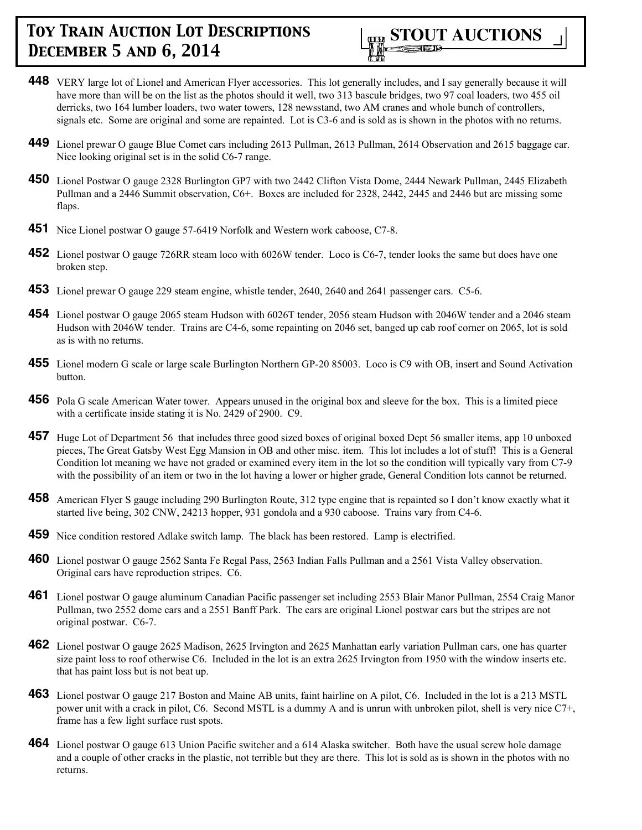

- **448** VERY large lot of Lionel and American Flyer accessories. This lot generally includes, and I say generally because it will have more than will be on the list as the photos should it well, two 313 bascule bridges, two 97 coal loaders, two 455 oil derricks, two 164 lumber loaders, two water towers, 128 newsstand, two AM cranes and whole bunch of controllers, signals etc. Some are original and some are repainted. Lot is C3-6 and is sold as is shown in the photos with no returns.
- **449** Lionel prewar O gauge Blue Comet cars including 2613 Pullman, 2613 Pullman, 2614 Observation and 2615 baggage car. Nice looking original set is in the solid C6-7 range.
- **450** Lionel Postwar O gauge 2328 Burlington GP7 with two 2442 Clifton Vista Dome, 2444 Newark Pullman, 2445 Elizabeth Pullman and a 2446 Summit observation, C6+. Boxes are included for 2328, 2442, 2445 and 2446 but are missing some flaps.
- **451** Nice Lionel postwar O gauge 57-6419 Norfolk and Western work caboose, C7-8.
- **452** Lionel postwar O gauge 726RR steam loco with 6026W tender. Loco is C6-7, tender looks the same but does have one broken step.
- **453** Lionel prewar O gauge 229 steam engine, whistle tender, 2640, 2640 and 2641 passenger cars. C5-6.
- **454** Lionel postwar O gauge 2065 steam Hudson with 6026T tender, 2056 steam Hudson with 2046W tender and a 2046 steam Hudson with 2046W tender. Trains are C4-6, some repainting on 2046 set, banged up cab roof corner on 2065, lot is sold as is with no returns.
- **455** Lionel modern G scale or large scale Burlington Northern GP-20 85003. Loco is C9 with OB, insert and Sound Activation button.
- **456** Pola G scale American Water tower. Appears unused in the original box and sleeve for the box. This is a limited piece with a certificate inside stating it is No. 2429 of 2900. C9.
- **457** Huge Lot of Department 56 that includes three good sized boxes of original boxed Dept 56 smaller items, app 10 unboxed pieces, The Great Gatsby West Egg Mansion in OB and other misc. item. This lot includes a lot of stuff! This is a General Condition lot meaning we have not graded or examined every item in the lot so the condition will typically vary from C7-9 with the possibility of an item or two in the lot having a lower or higher grade, General Condition lots cannot be returned.
- **458** American Flyer S gauge including 290 Burlington Route, 312 type engine that is repainted so I don't know exactly what it started live being, 302 CNW, 24213 hopper, 931 gondola and a 930 caboose. Trains vary from C4-6.
- **459** Nice condition restored Adlake switch lamp. The black has been restored. Lamp is electrified.
- **460** Lionel postwar O gauge 2562 Santa Fe Regal Pass, 2563 Indian Falls Pullman and a 2561 Vista Valley observation. Original cars have reproduction stripes. C6.
- **461** Lionel postwar O gauge aluminum Canadian Pacific passenger set including 2553 Blair Manor Pullman, 2554 Craig Manor Pullman, two 2552 dome cars and a 2551 Banff Park. The cars are original Lionel postwar cars but the stripes are not original postwar. C6-7.
- **462** Lionel postwar O gauge 2625 Madison, 2625 Irvington and 2625 Manhattan early variation Pullman cars, one has quarter size paint loss to roof otherwise C6. Included in the lot is an extra 2625 Irvington from 1950 with the window inserts etc. that has paint loss but is not beat up.
- **463** Lionel postwar O gauge 217 Boston and Maine AB units, faint hairline on A pilot, C6. Included in the lot is a 213 MSTL power unit with a crack in pilot, C6. Second MSTL is a dummy A and is unrun with unbroken pilot, shell is very nice C7+, frame has a few light surface rust spots.
- **464** Lionel postwar O gauge 613 Union Pacific switcher and a 614 Alaska switcher. Both have the usual screw hole damage and a couple of other cracks in the plastic, not terrible but they are there. This lot is sold as is shown in the photos with no returns.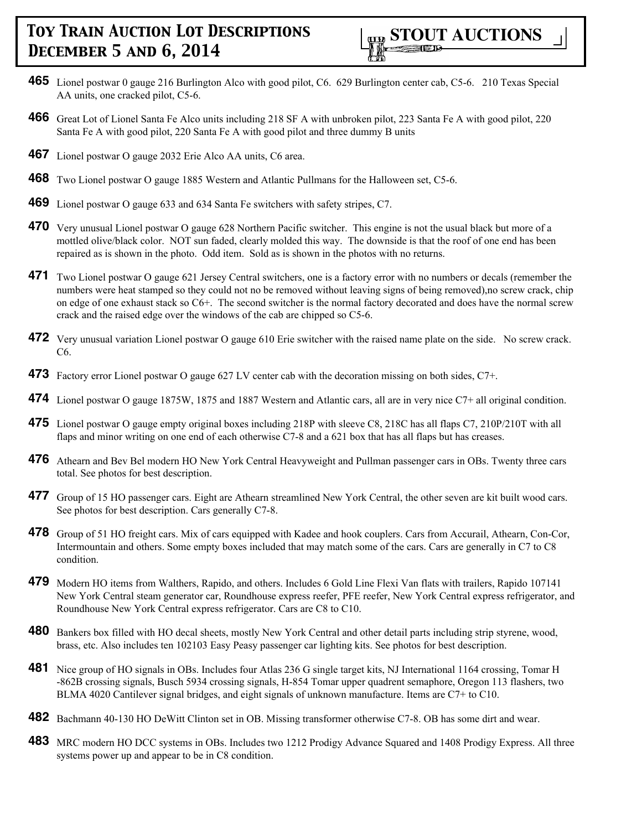

- **465** Lionel postwar 0 gauge 216 Burlington Alco with good pilot, C6. 629 Burlington center cab, C5-6. 210 Texas Special AA units, one cracked pilot, C5-6.
- **466** Great Lot of Lionel Santa Fe Alco units including 218 SF A with unbroken pilot, 223 Santa Fe A with good pilot, 220 Santa Fe A with good pilot, 220 Santa Fe A with good pilot and three dummy B units
- **467** Lionel postwar O gauge 2032 Erie Alco AA units, C6 area.
- **468** Two Lionel postwar O gauge 1885 Western and Atlantic Pullmans for the Halloween set, C5-6.
- **469** Lionel postwar O gauge 633 and 634 Santa Fe switchers with safety stripes, C7.
- **470** Very unusual Lionel postwar O gauge 628 Northern Pacific switcher. This engine is not the usual black but more of a mottled olive/black color. NOT sun faded, clearly molded this way. The downside is that the roof of one end has been repaired as is shown in the photo. Odd item. Sold as is shown in the photos with no returns.
- **471** Two Lionel postwar O gauge 621 Jersey Central switchers, one is a factory error with no numbers or decals (remember the numbers were heat stamped so they could not no be removed without leaving signs of being removed),no screw crack, chip on edge of one exhaust stack so C6+. The second switcher is the normal factory decorated and does have the normal screw crack and the raised edge over the windows of the cab are chipped so C5-6.
- **472** Very unusual variation Lionel postwar O gauge 610 Erie switcher with the raised name plate on the side. No screw crack. C6.
- **473** Factory error Lionel postwar O gauge 627 LV center cab with the decoration missing on both sides, C7+.
- **474** Lionel postwar O gauge 1875W, 1875 and 1887 Western and Atlantic cars, all are in very nice C7+ all original condition.
- **475** Lionel postwar O gauge empty original boxes including 218P with sleeve C8, 218C has all flaps C7, 210P/210T with all flaps and minor writing on one end of each otherwise C7-8 and a 621 box that has all flaps but has creases.
- **476** Athearn and Bev Bel modern HO New York Central Heavyweight and Pullman passenger cars in OBs. Twenty three cars total. See photos for best description.
- **477** Group of 15 HO passenger cars. Eight are Athearn streamlined New York Central, the other seven are kit built wood cars. See photos for best description. Cars generally C7-8.
- **478** Group of 51 HO freight cars. Mix of cars equipped with Kadee and hook couplers. Cars from Accurail, Athearn, Con-Cor, Intermountain and others. Some empty boxes included that may match some of the cars. Cars are generally in C7 to C8 condition.
- **479** Modern HO items from Walthers, Rapido, and others. Includes 6 Gold Line Flexi Van flats with trailers, Rapido 107141 New York Central steam generator car, Roundhouse express reefer, PFE reefer, New York Central express refrigerator, and Roundhouse New York Central express refrigerator. Cars are C8 to C10.
- **480** Bankers box filled with HO decal sheets, mostly New York Central and other detail parts including strip styrene, wood, brass, etc. Also includes ten 102103 Easy Peasy passenger car lighting kits. See photos for best description.
- **481** Nice group of HO signals in OBs. Includes four Atlas 236 G single target kits, NJ International 1164 crossing, Tomar H -862B crossing signals, Busch 5934 crossing signals, H-854 Tomar upper quadrent semaphore, Oregon 113 flashers, two BLMA 4020 Cantilever signal bridges, and eight signals of unknown manufacture. Items are C7+ to C10.
- **482** Bachmann 40-130 HO DeWitt Clinton set in OB. Missing transformer otherwise C7-8. OB has some dirt and wear.
- **483** MRC modern HO DCC systems in OBs. Includes two 1212 Prodigy Advance Squared and 1408 Prodigy Express. All three systems power up and appear to be in C8 condition.